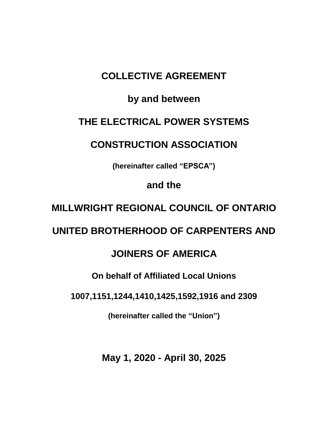# **COLLECTIVE AGREEMENT**

# **by and between**

# **THE ELECTRICAL POWER SYSTEMS**

# **CONSTRUCTION ASSOCIATION**

**(hereinafter called "EPSCA")**

**and the** 

# **MILLWRIGHT REGIONAL COUNCIL OF ONTARIO**

# **UNITED BROTHERHOOD OF CARPENTERS AND**

# **JOINERS OF AMERICA**

# **On behalf of Affiliated Local Unions**

**1007,1151,1244,1410,1425,1592,1916 and 2309**

**(hereinafter called the "Union")**

**May 1, 2020 - April 30, 2025**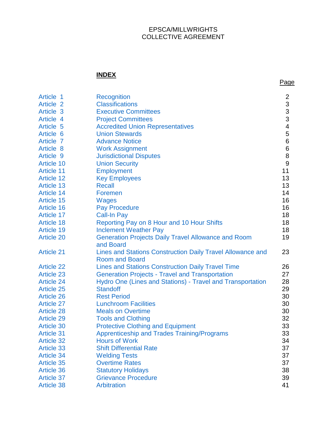#### EPSCA/MILLWRIGHTS COLLECTIVE AGREEMENT

# **INDEX**

| Article 1<br>Article 2<br>Article 3<br>Article 4<br>Article 5<br>Article 6<br>Article 7<br>Article 8<br>Article 9<br><b>Article 10</b><br><b>Article 11</b><br><b>Article 12</b><br><b>Article 13</b><br><b>Article 14</b><br><b>Article 15</b><br><b>Article 16</b><br><b>Article 17</b><br><b>Article 18</b><br><b>Article 19</b><br><b>Article 20</b> | <b>Recognition</b><br><b>Classifications</b><br><b>Executive Committees</b><br><b>Project Committees</b><br><b>Accredited Union Representatives</b><br><b>Union Stewards</b><br><b>Advance Notice</b><br><b>Work Assignment</b><br><b>Jurisdictional Disputes</b><br><b>Union Security</b><br><b>Employment</b><br><b>Key Employees</b><br><b>Recall</b><br>Foremen<br><b>Wages</b><br><b>Pay Procedure</b><br><b>Call-In Pay</b><br>Reporting Pay on 8 Hour and 10 Hour Shifts<br><b>Inclement Weather Pay</b><br><b>Generation Projects Daily Travel Allowance and Room</b> | $\overline{\mathbf{c}}$<br>$\begin{array}{c} 3 \\ 3 \\ 3 \end{array}$<br>$\overline{\mathbf{4}}$<br>5<br>$\,6$<br>$\,$ 6 $\,$<br>8<br>$\boldsymbol{9}$<br>11<br>13<br>13<br>14<br>16<br>16<br>18<br>18<br>18<br>19 |
|----------------------------------------------------------------------------------------------------------------------------------------------------------------------------------------------------------------------------------------------------------------------------------------------------------------------------------------------------------|-------------------------------------------------------------------------------------------------------------------------------------------------------------------------------------------------------------------------------------------------------------------------------------------------------------------------------------------------------------------------------------------------------------------------------------------------------------------------------------------------------------------------------------------------------------------------------|--------------------------------------------------------------------------------------------------------------------------------------------------------------------------------------------------------------------|
| <b>Article 21</b>                                                                                                                                                                                                                                                                                                                                        | and Board<br>Lines and Stations Construction Daily Travel Allowance and<br><b>Room and Board</b>                                                                                                                                                                                                                                                                                                                                                                                                                                                                              | 23                                                                                                                                                                                                                 |
| <b>Article 22</b>                                                                                                                                                                                                                                                                                                                                        | <b>Lines and Stations Construction Daily Travel Time</b>                                                                                                                                                                                                                                                                                                                                                                                                                                                                                                                      | 26                                                                                                                                                                                                                 |
| <b>Article 23</b>                                                                                                                                                                                                                                                                                                                                        | <b>Generation Projects - Travel and Transportation</b>                                                                                                                                                                                                                                                                                                                                                                                                                                                                                                                        | 27                                                                                                                                                                                                                 |
| <b>Article 24</b>                                                                                                                                                                                                                                                                                                                                        | Hydro One (Lines and Stations) - Travel and Transportation                                                                                                                                                                                                                                                                                                                                                                                                                                                                                                                    | 28                                                                                                                                                                                                                 |
| <b>Article 25</b>                                                                                                                                                                                                                                                                                                                                        | <b>Standoff</b>                                                                                                                                                                                                                                                                                                                                                                                                                                                                                                                                                               | 29                                                                                                                                                                                                                 |
| <b>Article 26</b>                                                                                                                                                                                                                                                                                                                                        | <b>Rest Period</b>                                                                                                                                                                                                                                                                                                                                                                                                                                                                                                                                                            | 30                                                                                                                                                                                                                 |
| <b>Article 27</b>                                                                                                                                                                                                                                                                                                                                        | <b>Lunchroom Facilities</b>                                                                                                                                                                                                                                                                                                                                                                                                                                                                                                                                                   | 30                                                                                                                                                                                                                 |
| <b>Article 28</b>                                                                                                                                                                                                                                                                                                                                        | <b>Meals on Overtime</b>                                                                                                                                                                                                                                                                                                                                                                                                                                                                                                                                                      | 30                                                                                                                                                                                                                 |
| <b>Article 29</b>                                                                                                                                                                                                                                                                                                                                        | <b>Tools and Clothing</b>                                                                                                                                                                                                                                                                                                                                                                                                                                                                                                                                                     | 32                                                                                                                                                                                                                 |
| <b>Article 30</b>                                                                                                                                                                                                                                                                                                                                        | <b>Protective Clothing and Equipment</b>                                                                                                                                                                                                                                                                                                                                                                                                                                                                                                                                      | 33                                                                                                                                                                                                                 |
| <b>Article 31</b>                                                                                                                                                                                                                                                                                                                                        | <b>Apprenticeship and Trades Training/Programs</b>                                                                                                                                                                                                                                                                                                                                                                                                                                                                                                                            | 33                                                                                                                                                                                                                 |
| <b>Article 32</b>                                                                                                                                                                                                                                                                                                                                        | <b>Hours of Work</b>                                                                                                                                                                                                                                                                                                                                                                                                                                                                                                                                                          | 34                                                                                                                                                                                                                 |
| <b>Article 33</b>                                                                                                                                                                                                                                                                                                                                        | <b>Shift Differential Rate</b>                                                                                                                                                                                                                                                                                                                                                                                                                                                                                                                                                | 37                                                                                                                                                                                                                 |
| <b>Article 34</b>                                                                                                                                                                                                                                                                                                                                        | <b>Welding Tests</b>                                                                                                                                                                                                                                                                                                                                                                                                                                                                                                                                                          | 37                                                                                                                                                                                                                 |
| Article 35                                                                                                                                                                                                                                                                                                                                               | <b>Overtime Rates</b>                                                                                                                                                                                                                                                                                                                                                                                                                                                                                                                                                         | 37                                                                                                                                                                                                                 |
| Article 36                                                                                                                                                                                                                                                                                                                                               | <b>Statutory Holidays</b>                                                                                                                                                                                                                                                                                                                                                                                                                                                                                                                                                     | 38                                                                                                                                                                                                                 |
| <b>Article 37</b>                                                                                                                                                                                                                                                                                                                                        | <b>Grievance Procedure</b>                                                                                                                                                                                                                                                                                                                                                                                                                                                                                                                                                    | 39                                                                                                                                                                                                                 |
| <b>Article 38</b>                                                                                                                                                                                                                                                                                                                                        | Arbitration                                                                                                                                                                                                                                                                                                                                                                                                                                                                                                                                                                   | 41                                                                                                                                                                                                                 |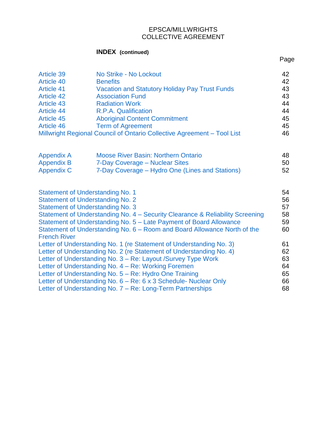### EPSCA/MILLWRIGHTS COLLECTIVE AGREEMENT

Page

# **INDEX (continued)**

| <b>Article 39</b><br>Article 40<br><b>Article 41</b><br><b>Article 42</b><br>Article 43<br><b>Article 44</b><br><b>Article 45</b><br>Article 46                                                                                                                                                                                                                  | No Strike - No Lockout<br><b>Benefits</b><br><b>Vacation and Statutory Holiday Pay Trust Funds</b><br><b>Association Fund</b><br><b>Radiation Work</b><br>R.P.A. Qualification<br><b>Aboriginal Content Commitment</b><br><b>Term of Agreement</b><br>Millwright Regional Council of Ontario Collective Agreement - Tool List | 42<br>42<br>43<br>43<br>44<br>44<br>45<br>45<br>46 |
|------------------------------------------------------------------------------------------------------------------------------------------------------------------------------------------------------------------------------------------------------------------------------------------------------------------------------------------------------------------|-------------------------------------------------------------------------------------------------------------------------------------------------------------------------------------------------------------------------------------------------------------------------------------------------------------------------------|----------------------------------------------------|
| <b>Appendix A</b>                                                                                                                                                                                                                                                                                                                                                | <b>Moose River Basin: Northern Ontario</b>                                                                                                                                                                                                                                                                                    | 48                                                 |
| <b>Appendix B</b>                                                                                                                                                                                                                                                                                                                                                | 7-Day Coverage - Nuclear Sites                                                                                                                                                                                                                                                                                                | 50                                                 |
| <b>Appendix C</b>                                                                                                                                                                                                                                                                                                                                                | 7-Day Coverage – Hydro One (Lines and Stations)                                                                                                                                                                                                                                                                               | 52                                                 |
| <b>Statement of Understanding No. 1</b><br><b>Statement of Understanding No. 2</b><br><b>Statement of Understanding No. 3</b><br>Statement of Understanding No. 4 – Security Clearance & Reliability Screening<br>Statement of Understanding No. 5 - Late Payment of Board Allowance<br>Statement of Understanding No. 6 – Room and Board Allowance North of the |                                                                                                                                                                                                                                                                                                                               | 54<br>56<br>57<br>58<br>59<br>60                   |
| <b>French River</b><br>Letter of Understanding No. 1 (re Statement of Understanding No. 3)                                                                                                                                                                                                                                                                       |                                                                                                                                                                                                                                                                                                                               |                                                    |
| Letter of Understanding No. 2 (re Statement of Understanding No. 4)                                                                                                                                                                                                                                                                                              |                                                                                                                                                                                                                                                                                                                               |                                                    |
| Letter of Understanding No. 3 – Re: Layout /Survey Type Work                                                                                                                                                                                                                                                                                                     |                                                                                                                                                                                                                                                                                                                               |                                                    |
| Letter of Understanding No. 4 – Re: Working Foremen                                                                                                                                                                                                                                                                                                              |                                                                                                                                                                                                                                                                                                                               |                                                    |
| Letter of Understanding No. 5 – Re: Hydro One Training                                                                                                                                                                                                                                                                                                           |                                                                                                                                                                                                                                                                                                                               |                                                    |
| Letter of Understanding No. 6 – Re: 6 x 3 Schedule- Nuclear Only                                                                                                                                                                                                                                                                                                 |                                                                                                                                                                                                                                                                                                                               |                                                    |
| Letter of Understanding No. 7 - Re: Long-Term Partnerships                                                                                                                                                                                                                                                                                                       |                                                                                                                                                                                                                                                                                                                               |                                                    |
|                                                                                                                                                                                                                                                                                                                                                                  |                                                                                                                                                                                                                                                                                                                               |                                                    |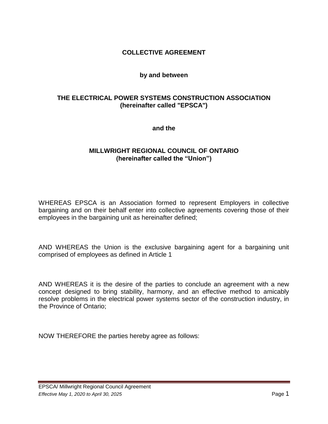### **COLLECTIVE AGREEMENT**

#### **by and between**

## **THE ELECTRICAL POWER SYSTEMS CONSTRUCTION ASSOCIATION (hereinafter called "EPSCA")**

**and the**

#### **MILLWRIGHT REGIONAL COUNCIL OF ONTARIO (hereinafter called the "Union")**

WHEREAS EPSCA is an Association formed to represent Employers in collective bargaining and on their behalf enter into collective agreements covering those of their employees in the bargaining unit as hereinafter defined;

AND WHEREAS the Union is the exclusive bargaining agent for a bargaining unit comprised of employees as defined in Article 1

AND WHEREAS it is the desire of the parties to conclude an agreement with a new concept designed to bring stability, harmony, and an effective method to amicably resolve problems in the electrical power systems sector of the construction industry, in the Province of Ontario;

NOW THEREFORE the parties hereby agree as follows: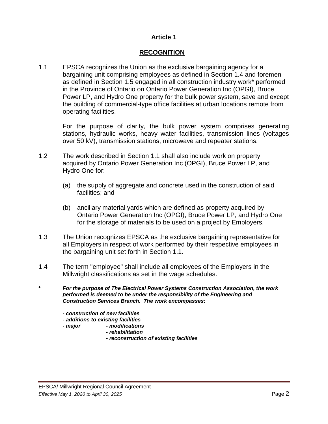# **RECOGNITION**

<span id="page-4-0"></span>1.1 EPSCA recognizes the Union as the exclusive bargaining agency for a bargaining unit comprising employees as defined in Section 1.4 and foremen as defined in Section 1.5 engaged in all construction industry work\* performed in the Province of Ontario on Ontario Power Generation Inc (OPGI), Bruce Power LP, and Hydro One property for the bulk power system, save and except the building of commercial-type office facilities at urban locations remote from operating facilities.

For the purpose of clarity, the bulk power system comprises generating stations, hydraulic works, heavy water facilities, transmission lines (voltages over 50 kV), transmission stations, microwave and repeater stations.

- 1.2 The work described in Section 1.1 shall also include work on property acquired by Ontario Power Generation Inc (OPGI), Bruce Power LP, and Hydro One for:
	- (a) the supply of aggregate and concrete used in the construction of said facilities; and
	- (b) ancillary material yards which are defined as property acquired by Ontario Power Generation Inc (OPGI), Bruce Power LP, and Hydro One for the storage of materials to be used on a project by Employers.
- 1.3 The Union recognizes EPSCA as the exclusive bargaining representative for all Employers in respect of work performed by their respective employees in the bargaining unit set forth in Section 1.1.
- 1.4 The term "employee" shall include all employees of the Employers in the Millwright classifications as set in the wage schedules.

**\*** *For the purpose of The Electrical Power Systems Construction Association, the work performed is deemed to be under the responsibility of the Engineering and Construction Services Branch. The work encompasses:*

- *- construction of new facilities*
- *- additions to existing facilities*
- *- major - modifications*
	- *- rehabilitation*
		- *- reconstruction of existing facilities*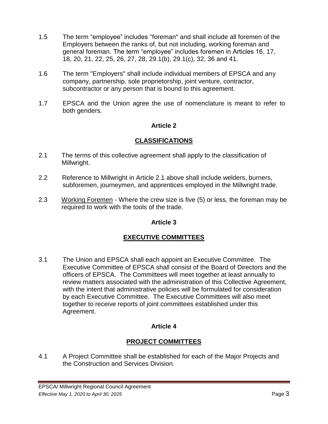- 1.5 The term "employee" includes "foreman" and shall include all foremen of the Employers between the ranks of, but not including, working foreman and general foreman. The term "employee" includes foremen in Articles 16, 17, 18, 20, 21, 22, 25, 26, 27, 28, 29.1(b), 29.1(c), 32, 36 and 41.
- 1.6 The term "Employers" shall include individual members of EPSCA and any company, partnership, sole proprietorship, joint venture, contractor, subcontractor or any person that is bound to this agreement.
- <span id="page-5-0"></span>1.7 EPSCA and the Union agree the use of nomenclature is meant to refer to both genders.

# **CLASSIFICATIONS**

- 2.1 The terms of this collective agreement shall apply to the classification of Millwright.
- 2.2 Reference to Millwright in Article 2.1 above shall include welders, burners, subforemen, journeymen, and apprentices employed in the Millwright trade.
- <span id="page-5-1"></span>2.3 Working Foremen - Where the crew size is five (5) or less, the foreman may be required to work with the tools of the trade.

## **Article 3**

## **EXECUTIVE COMMITTEES**

3.1 The Union and EPSCA shall each appoint an Executive Committee. The Executive Committee of EPSCA shall consist of the Board of Directors and the officers of EPSCA. The Committees will meet together at least annually to review matters associated with the administration of this Collective Agreement, with the intent that administrative policies will be formulated for consideration by each Executive Committee. The Executive Committees will also meet together to receive reports of joint committees established under this Agreement.

## **Article 4**

# **PROJECT COMMITTEES**

<span id="page-5-2"></span>4.1 A Project Committee shall be established for each of the Major Projects and the Construction and Services Division.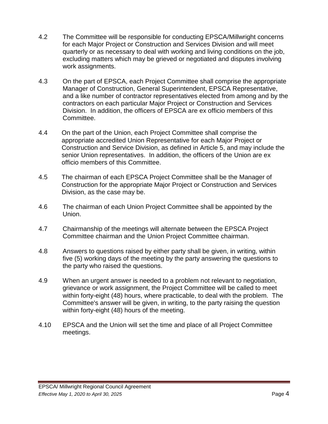- 4.2 The Committee will be responsible for conducting EPSCA/Millwright concerns for each Major Project or Construction and Services Division and will meet quarterly or as necessary to deal with working and living conditions on the job, excluding matters which may be grieved or negotiated and disputes involving work assignments.
- 4.3 On the part of EPSCA, each Project Committee shall comprise the appropriate Manager of Construction, General Superintendent, EPSCA Representative, and a like number of contractor representatives elected from among and by the contractors on each particular Major Project or Construction and Services Division. In addition, the officers of EPSCA are ex officio members of this Committee.
- 4.4 On the part of the Union, each Project Committee shall comprise the appropriate accredited Union Representative for each Major Project or Construction and Service Division, as defined in Article 5, and may include the senior Union representatives. In addition, the officers of the Union are ex officio members of this Committee.
- 4.5 The chairman of each EPSCA Project Committee shall be the Manager of Construction for the appropriate Major Project or Construction and Services Division, as the case may be.
- 4.6 The chairman of each Union Project Committee shall be appointed by the Union.
- 4.7 Chairmanship of the meetings will alternate between the EPSCA Project Committee chairman and the Union Project Committee chairman.
- 4.8 Answers to questions raised by either party shall be given, in writing, within five (5) working days of the meeting by the party answering the questions to the party who raised the questions.
- 4.9 When an urgent answer is needed to a problem not relevant to negotiation, grievance or work assignment, the Project Committee will be called to meet within forty-eight (48) hours, where practicable, to deal with the problem. The Committee's answer will be given, in writing, to the party raising the question within forty-eight (48) hours of the meeting.
- 4.10 EPSCA and the Union will set the time and place of all Project Committee meetings.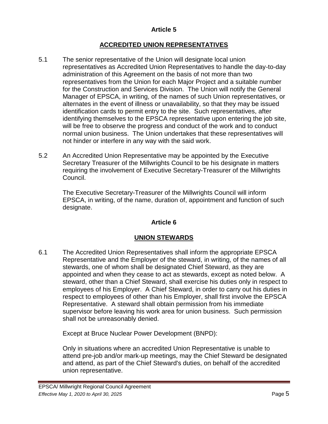### **ACCREDITED UNION REPRESENTATIVES**

- <span id="page-7-0"></span>5.1 The senior representative of the Union will designate local union representatives as Accredited Union Representatives to handle the day-to-day administration of this Agreement on the basis of not more than two representatives from the Union for each Major Project and a suitable number for the Construction and Services Division. The Union will notify the General Manager of EPSCA, in writing, of the names of such Union representatives, or alternates in the event of illness or unavailability, so that they may be issued identification cards to permit entry to the site. Such representatives, after identifying themselves to the EPSCA representative upon entering the job site, will be free to observe the progress and conduct of the work and to conduct normal union business. The Union undertakes that these representatives will not hinder or interfere in any way with the said work.
- 5.2 An Accredited Union Representative may be appointed by the Executive Secretary Treasurer of the Millwrights Council to be his designate in matters requiring the involvement of Executive Secretary-Treasurer of the Millwrights Council.

The Executive Secretary-Treasurer of the Millwrights Council will inform EPSCA, in writing, of the name, duration of, appointment and function of such designate.

#### **Article 6**

## **UNION STEWARDS**

<span id="page-7-1"></span>6.1 The Accredited Union Representatives shall inform the appropriate EPSCA Representative and the Employer of the steward, in writing, of the names of all stewards, one of whom shall be designated Chief Steward, as they are appointed and when they cease to act as stewards, except as noted below. A steward, other than a Chief Steward, shall exercise his duties only in respect to employees of his Employer. A Chief Steward, in order to carry out his duties in respect to employees of other than his Employer, shall first involve the EPSCA Representative. A steward shall obtain permission from his immediate supervisor before leaving his work area for union business. Such permission shall not be unreasonably denied.

Except at Bruce Nuclear Power Development (BNPD):

Only in situations where an accredited Union Representative is unable to attend pre-job and/or mark-up meetings, may the Chief Steward be designated and attend, as part of the Chief Steward's duties, on behalf of the accredited union representative.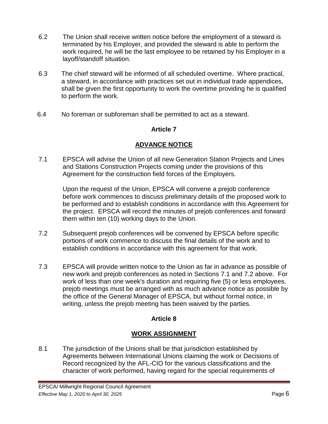- 6.2 The Union shall receive written notice before the employment of a steward is terminated by his Employer, and provided the steward is able to perform the work required, he will be the last employee to be retained by his Employer in a layoff/standoff situation.
- 6.3 The chief steward will be informed of all scheduled overtime. Where practical, a steward, in accordance with practices set out in individual trade appendices, shall be given the first opportunity to work the overtime providing he is qualified to perform the work.
- <span id="page-8-0"></span>6.4 No foreman or subforeman shall be permitted to act as a steward.

# **ADVANCE NOTICE**

7.1 EPSCA will advise the Union of all new Generation Station Projects and Lines and Stations Construction Projects coming under the provisions of this Agreement for the construction field forces of the Employers.

Upon the request of the Union, EPSCA will convene a prejob conference before work commences to discuss preliminary details of the proposed work to be performed and to establish conditions in accordance with this Agreement for the project. EPSCA will record the minutes of prejob conferences and forward them within ten (10) working days to the Union.

- 7.2 Subsequent prejob conferences will be convened by EPSCA before specific portions of work commence to discuss the final details of the work and to establish conditions in accordance with this agreement for that work.
- 7.3 EPSCA will provide written notice to the Union as far in advance as possible of new work and prejob conferences as noted in Sections 7.1 and 7.2 above. For work of less than one week's duration and requiring five (5) or less employees, prejob meetings must be arranged with as much advance notice as possible by the office of the General Manager of EPSCA, but without formal notice, in writing, unless the prejob meeting has been waived by the parties.

## **Article 8**

# **WORK ASSIGNMENT**

<span id="page-8-1"></span>8.1 The jurisdiction of the Unions shall be that jurisdiction established by Agreements between International Unions claiming the work or Decisions of Record recognized by the AFL-CIO for the various classifications and the character of work performed, having regard for the special requirements of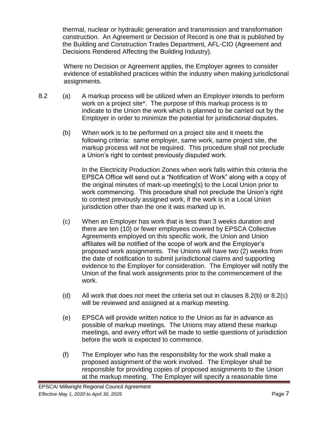thermal, nuclear or hydraulic generation and transmission and transformation construction. An Agreement or Decision of Record is one that is published by the Building and Construction Trades Department, AFL-CIO (Agreement and Decisions Rendered Affecting the Building Industry).

 Where no Decision or Agreement applies, the Employer agrees to consider evidence of established practices within the industry when making jurisdictional assignments.

- 8.2 (a) A markup process will be utilized when an Employer intends to perform work on a project site\*. The purpose of this markup process is to indicate to the Union the work which is planned to be carried out by the Employer in order to minimize the potential for jurisdictional disputes.
	- (b) When work is to be performed on a project site and it meets the following criteria: same employer, same work, same project site, the markup process will not be required. This procedure shall not preclude a Union's right to contest previously disputed work.

In the Electricity Production Zones when work falls within this criteria the EPSCA Office will send out a "Notification of Work" along with a copy of the original minutes of mark-up meeting(s) to the Local Union prior to work commencing. This procedure shall not preclude the Union's right to contest previously assigned work, if the work is in a Local Union jurisdiction other than the one it was marked up in.

- (c) When an Employer has work that is less than 3 weeks duration and there are ten (10) or fewer employees covered by EPSCA Collective Agreements employed on this specific work, the Union and Union affiliates will be notified of the scope of work and the Employer's proposed work assignments. The Unions will have two (2) weeks from the date of notification to submit jurisdictional claims and supporting evidence to the Employer for consideration. The Employer will notify the Union of the final work assignments prior to the commencement of the work.
- (d) All work that does not meet the criteria set out in clauses 8.2(b) or 8.2(c) will be reviewed and assigned at a markup meeting.
- (e) EPSCA will provide written notice to the Union as far in advance as possible of markup meetings. The Unions may attend these markup meetings, and every effort will be made to settle questions of jurisdiction before the work is expected to commence.
- (f) The Employer who has the responsibility for the work shall make a proposed assignment of the work involved. The Employer shall be responsible for providing copies of proposed assignments to the Union at the markup meeting. The Employer will specify a reasonable time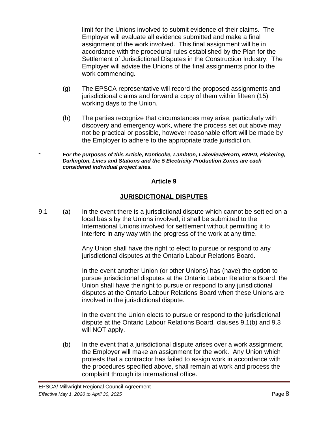limit for the Unions involved to submit evidence of their claims. The Employer will evaluate all evidence submitted and make a final assignment of the work involved. This final assignment will be in accordance with the procedural rules established by the Plan for the Settlement of Jurisdictional Disputes in the Construction Industry. The Employer will advise the Unions of the final assignments prior to the work commencing.

- (g) The EPSCA representative will record the proposed assignments and jurisdictional claims and forward a copy of them within fifteen (15) working days to the Union.
- (h) The parties recognize that circumstances may arise, particularly with discovery and emergency work, where the process set out above may not be practical or possible, however reasonable effort will be made by the Employer to adhere to the appropriate trade jurisdiction.

\* *For the purposes of this Article, Nanticoke, Lambton, Lakeview/Hearn, BNPD, Pickering, Darlington, Lines and Stations and the 5 Electricity Production Zones are each considered individual project sites.*

#### **Article 9**

# **JURISDICTIONAL DISPUTES**

9.1 (a) In the event there is a jurisdictional dispute which cannot be settled on a local basis by the Unions involved, it shall be submitted to the International Unions involved for settlement without permitting it to interfere in any way with the progress of the work at any time.

> Any Union shall have the right to elect to pursue or respond to any jurisdictional disputes at the Ontario Labour Relations Board.

In the event another Union (or other Unions) has (have) the option to pursue jurisdictional disputes at the Ontario Labour Relations Board, the Union shall have the right to pursue or respond to any jurisdictional disputes at the Ontario Labour Relations Board when these Unions are involved in the jurisdictional dispute.

In the event the Union elects to pursue or respond to the jurisdictional dispute at the Ontario Labour Relations Board, clauses 9.1(b) and 9.3 will NOT apply.

(b) In the event that a jurisdictional dispute arises over a work assignment, the Employer will make an assignment for the work. Any Union which protests that a contractor has failed to assign work in accordance with the procedures specified above, shall remain at work and process the complaint through its international office.

<span id="page-10-0"></span>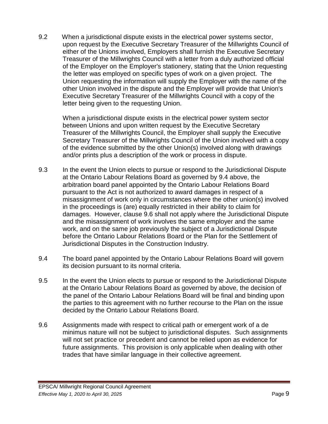9.2 When a jurisdictional dispute exists in the electrical power systems sector, upon request by the Executive Secretary Treasurer of the Millwrights Council of either of the Unions involved, Employers shall furnish the Executive Secretary Treasurer of the Millwrights Council with a letter from a duly authorized official of the Employer on the Employer's stationery, stating that the Union requesting the letter was employed on specific types of work on a given project. The Union requesting the information will supply the Employer with the name of the other Union involved in the dispute and the Employer will provide that Union's Executive Secretary Treasurer of the Millwrights Council with a copy of the letter being given to the requesting Union.

When a jurisdictional dispute exists in the electrical power system sector between Unions and upon written request by the Executive Secretary Treasurer of the Millwrights Council, the Employer shall supply the Executive Secretary Treasurer of the Millwrights Council of the Union involved with a copy of the evidence submitted by the other Union(s) involved along with drawings and/or prints plus a description of the work or process in dispute.

- 9.3 In the event the Union elects to pursue or respond to the Jurisdictional Dispute at the Ontario Labour Relations Board as governed by 9.4 above, the arbitration board panel appointed by the Ontario Labour Relations Board pursuant to the Act is not authorized to award damages in respect of a misassignment of work only in circumstances where the other union(s) involved in the proceedings is (are) equally restricted in their ability to claim for damages. However, clause 9.6 shall not apply where the Jurisdictional Dispute and the misassignment of work involves the same employer and the same work, and on the same job previously the subject of a Jurisdictional Dispute before the Ontario Labour Relations Board or the Plan for the Settlement of Jurisdictional Disputes in the Construction Industry.
- 9.4 The board panel appointed by the Ontario Labour Relations Board will govern its decision pursuant to its normal criteria.
- 9.5 In the event the Union elects to pursue or respond to the Jurisdictional Dispute at the Ontario Labour Relations Board as governed by above, the decision of the panel of the Ontario Labour Relations Board will be final and binding upon the parties to this agreement with no further recourse to the Plan on the issue decided by the Ontario Labour Relations Board.
- 9.6 Assignments made with respect to critical path or emergent work of a de minimus nature will not be subject to jurisdictional disputes. Such assignments will not set practice or precedent and cannot be relied upon as evidence for future assignments. This provision is only applicable when dealing with other trades that have similar language in their collective agreement.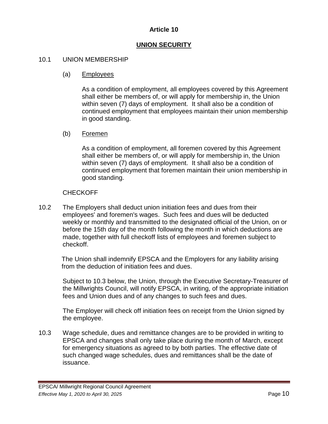## **UNION SECURITY**

#### <span id="page-12-0"></span>10.1 UNION MEMBERSHIP

#### (a) Employees

As a condition of employment, all employees covered by this Agreement shall either be members of, or will apply for membership in, the Union within seven (7) days of employment. It shall also be a condition of continued employment that employees maintain their union membership in good standing.

#### (b) Foremen

As a condition of employment, all foremen covered by this Agreement shall either be members of, or will apply for membership in, the Union within seven (7) days of employment. It shall also be a condition of continued employment that foremen maintain their union membership in good standing.

#### CHECKOFF

10.2 The Employers shall deduct union initiation fees and dues from their employees' and foremen's wages. Such fees and dues will be deducted weekly or monthly and transmitted to the designated official of the Union, on or before the 15th day of the month following the month in which deductions are made, together with full checkoff lists of employees and foremen subject to checkoff.

The Union shall indemnify EPSCA and the Employers for any liability arising from the deduction of initiation fees and dues.

Subject to 10.3 below, the Union, through the Executive Secretary-Treasurer of the Millwrights Council, will notify EPSCA, in writing, of the appropriate initiation fees and Union dues and of any changes to such fees and dues.

The Employer will check off initiation fees on receipt from the Union signed by the employee.

10.3 Wage schedule, dues and remittance changes are to be provided in writing to EPSCA and changes shall only take place during the month of March, except for emergency situations as agreed to by both parties. The effective date of such changed wage schedules, dues and remittances shall be the date of issuance.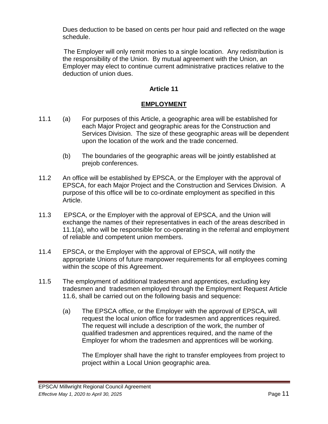Dues deduction to be based on cents per hour paid and reflected on the wage schedule.

 The Employer will only remit monies to a single location. Any redistribution is the responsibility of the Union. By mutual agreement with the Union, an Employer may elect to continue current administrative practices relative to the deduction of union dues.

## **Article 11**

# **EMPLOYMENT**

- <span id="page-13-0"></span>11.1 (a) For purposes of this Article, a geographic area will be established for each Major Project and geographic areas for the Construction and Services Division. The size of these geographic areas will be dependent upon the location of the work and the trade concerned.
	- (b) The boundaries of the geographic areas will be jointly established at prejob conferences.
- 11.2 An office will be established by EPSCA, or the Employer with the approval of EPSCA, for each Major Project and the Construction and Services Division. A purpose of this office will be to co-ordinate employment as specified in this Article.
- 11.3 EPSCA, or the Employer with the approval of EPSCA, and the Union will exchange the names of their representatives in each of the areas described in 11.1(a), who will be responsible for co-operating in the referral and employment of reliable and competent union members.
- 11.4 EPSCA, or the Employer with the approval of EPSCA, will notify the appropriate Unions of future manpower requirements for all employees coming within the scope of this Agreement.
- 11.5 The employment of additional tradesmen and apprentices, excluding key tradesmen and tradesmen employed through the Employment Request Article 11.6, shall be carried out on the following basis and sequence:
	- (a) The EPSCA office, or the Employer with the approval of EPSCA, will request the local union office for tradesmen and apprentices required. The request will include a description of the work, the number of qualified tradesmen and apprentices required, and the name of the Employer for whom the tradesmen and apprentices will be working.

The Employer shall have the right to transfer employees from project to project within a Local Union geographic area.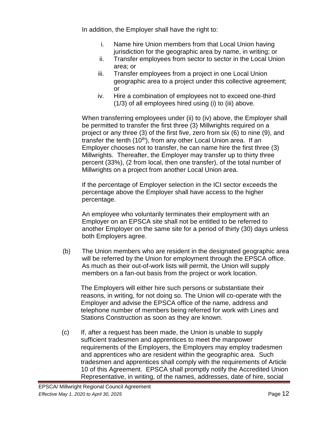In addition, the Employer shall have the right to:

- i. Name hire Union members from that Local Union having jurisdiction for the geographic area by name, in writing; or
- ii. Transfer employees from sector to sector in the Local Union area; or
- iii. Transfer employees from a project in one Local Union geographic area to a project under this collective agreement; or
- iv. Hire a combination of employees not to exceed one-third (1/3) of all employees hired using (i) to (iii) above.

When transferring employees under (ii) to (iv) above, the Employer shall be permitted to transfer the first three (3) Millwrights required on a project or any three (3) of the first five, zero from six (6) to nine (9), and transfer the tenth  $(10<sup>th</sup>)$ , from any other Local Union area. If an Employer chooses not to transfer, he can name hire the first three (3) Millwrights. Thereafter, the Employer may transfer up to thirty three percent (33%), (2 from local, then one transfer), of the total number of Millwrights on a project from another Local Union area.

If the percentage of Employer selection in the ICI sector exceeds the percentage above the Employer shall have access to the higher percentage.

An employee who voluntarily terminates their employment with an Employer on an EPSCA site shall not be entitled to be referred to another Employer on the same site for a period of thirty (30) days unless both Employers agree.

(b) The Union members who are resident in the designated geographic area will be referred by the Union for employment through the EPSCA office. As much as their out-of-work lists will permit, the Union will supply members on a fan-out basis from the project or work location.

The Employers will either hire such persons or substantiate their reasons, in writing, for not doing so. The Union will co-operate with the Employer and advise the EPSCA office of the name, address and telephone number of members being referred for work with Lines and Stations Construction as soon as they are known.

(c) If, after a request has been made, the Union is unable to supply sufficient tradesmen and apprentices to meet the manpower requirements of the Employers, the Employers may employ tradesmen and apprentices who are resident within the geographic area. Such tradesmen and apprentices shall comply with the requirements of Article 10 of this Agreement. EPSCA shall promptly notify the Accredited Union Representative, in writing, of the names, addresses, date of hire, social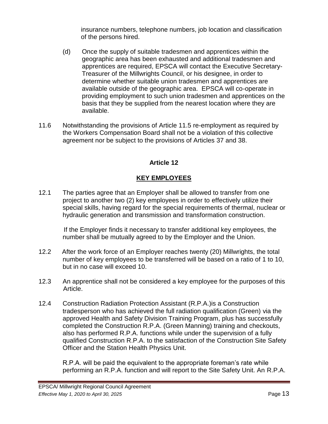insurance numbers, telephone numbers, job location and classification of the persons hired.

- (d) Once the supply of suitable tradesmen and apprentices within the geographic area has been exhausted and additional tradesmen and apprentices are required, EPSCA will contact the Executive Secretary-Treasurer of the Millwrights Council, or his designee, in order to determine whether suitable union tradesmen and apprentices are available outside of the geographic area. EPSCA will co-operate in providing employment to such union tradesmen and apprentices on the basis that they be supplied from the nearest location where they are available.
- <span id="page-15-0"></span>11.6 Notwithstanding the provisions of Article 11.5 re-employment as required by the Workers Compensation Board shall not be a violation of this collective agreement nor be subject to the provisions of Articles 37 and 38.

# **Article 12**

# **KEY EMPLOYEES**

12.1 The parties agree that an Employer shall be allowed to transfer from one project to another two (2) key employees in order to effectively utilize their special skills, having regard for the special requirements of thermal, nuclear or hydraulic generation and transmission and transformation construction.

 If the Employer finds it necessary to transfer additional key employees, the number shall be mutually agreed to by the Employer and the Union.

- 12.2 After the work force of an Employer reaches twenty (20) Millwrights, the total number of key employees to be transferred will be based on a ratio of 1 to 10, but in no case will exceed 10.
- 12.3 An apprentice shall not be considered a key employee for the purposes of this Article.
- 12.4 Construction Radiation Protection Assistant (R.P.A.)is a Construction tradesperson who has achieved the full radiation qualification (Green) via the approved Health and Safety Division Training Program, plus has successfully completed the Construction R.P.A. (Green Manning) training and checkouts, also has performed R.P.A. functions while under the supervision of a fully qualified Construction R.P.A. to the satisfaction of the Construction Site Safety Officer and the Station Health Physics Unit.

R.P.A. will be paid the equivalent to the appropriate foreman's rate while performing an R.P.A. function and will report to the Site Safety Unit. An R.P.A.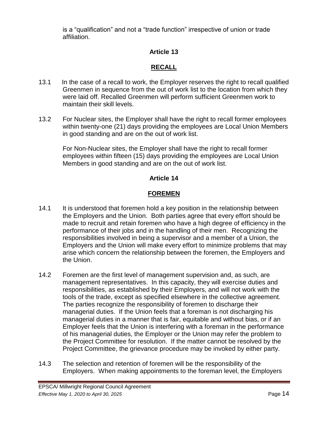<span id="page-16-0"></span>is a "qualification" and not a "trade function" irrespective of union or trade affiliation.

# **Article 13**

# **RECALL**

- 13.1 In the case of a recall to work, the Employer reserves the right to recall qualified Greenmen in sequence from the out of work list to the location from which they were laid off. Recalled Greenmen will perform sufficient Greenmen work to maintain their skill levels.
- 13.2 For Nuclear sites, the Employer shall have the right to recall former employees within twenty-one (21) days providing the employees are Local Union Members in good standing and are on the out of work list.

For Non-Nuclear sites, the Employer shall have the right to recall former employees within fifteen (15) days providing the employees are Local Union Members in good standing and are on the out of work list.

# **Article 14**

# **FOREMEN**

- <span id="page-16-1"></span>14.1 It is understood that foremen hold a key position in the relationship between the Employers and the Union. Both parties agree that every effort should be made to recruit and retain foremen who have a high degree of efficiency in the performance of their jobs and in the handling of their men. Recognizing the responsibilities involved in being a supervisor and a member of a Union, the Employers and the Union will make every effort to minimize problems that may arise which concern the relationship between the foremen, the Employers and the Union.
- 14.2 Foremen are the first level of management supervision and, as such, are management representatives. In this capacity, they will exercise duties and responsibilities, as established by their Employers, and will not work with the tools of the trade, except as specified elsewhere in the collective agreement. The parties recognize the responsibility of foremen to discharge their managerial duties. If the Union feels that a foreman is not discharging his managerial duties in a manner that is fair, equitable and without bias, or if an Employer feels that the Union is interfering with a foreman in the performance of his managerial duties, the Employer or the Union may refer the problem to the Project Committee for resolution. If the matter cannot be resolved by the Project Committee, the grievance procedure may be invoked by either party.
- 14.3 The selection and retention of foremen will be the responsibility of the Employers. When making appointments to the foreman level, the Employers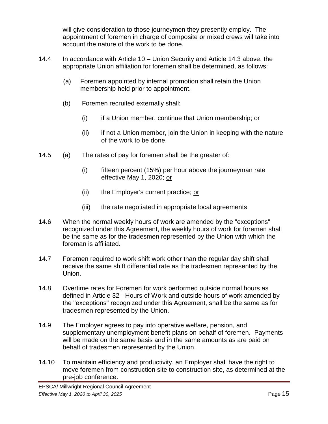will give consideration to those journeymen they presently employ. The appointment of foremen in charge of composite or mixed crews will take into account the nature of the work to be done.

- 14.4 In accordance with Article 10 Union Security and Article 14.3 above, the appropriate Union affiliation for foremen shall be determined, as follows:
	- (a) Foremen appointed by internal promotion shall retain the Union membership held prior to appointment.
	- (b) Foremen recruited externally shall:
		- (i) if a Union member, continue that Union membership; or
		- (ii) if not a Union member, join the Union in keeping with the nature of the work to be done.
- 14.5 (a) The rates of pay for foremen shall be the greater of:
	- (i) fifteen percent (15%) per hour above the journeyman rate effective May 1, 2020; or
	- (ii) the Employer's current practice; or
	- (iii) the rate negotiated in appropriate local agreements
- 14.6 When the normal weekly hours of work are amended by the "exceptions" recognized under this Agreement, the weekly hours of work for foremen shall be the same as for the tradesmen represented by the Union with which the foreman is affiliated.
- 14.7 Foremen required to work shift work other than the regular day shift shall receive the same shift differential rate as the tradesmen represented by the Union.
- 14.8 Overtime rates for Foremen for work performed outside normal hours as defined in Article 32 - Hours of Work and outside hours of work amended by the "exceptions" recognized under this Agreement, shall be the same as for tradesmen represented by the Union.
- 14.9 The Employer agrees to pay into operative welfare, pension, and supplementary unemployment benefit plans on behalf of foremen. Payments will be made on the same basis and in the same amounts as are paid on behalf of tradesmen represented by the Union.
- 14.10 To maintain efficiency and productivity, an Employer shall have the right to move foremen from construction site to construction site, as determined at the pre-job conference.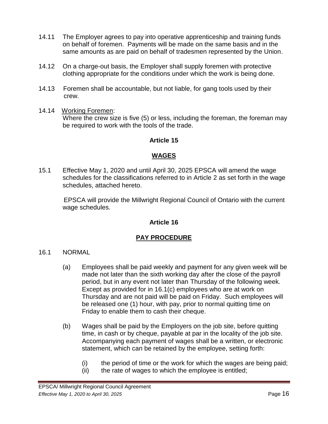- 14.11 The Employer agrees to pay into operative apprenticeship and training funds on behalf of foremen. Payments will be made on the same basis and in the same amounts as are paid on behalf of tradesmen represented by the Union.
- 14.12 On a charge-out basis, the Employer shall supply foremen with protective clothing appropriate for the conditions under which the work is being done.
- 14.13 Foremen shall be accountable, but not liable, for gang tools used by their crew.
- <span id="page-18-0"></span>14.14 Working Foremen: Where the crew size is five (5) or less, including the foreman, the foreman may be required to work with the tools of the trade.

#### **WAGES**

15.1 Effective May 1, 2020 and until April 30, 2025 EPSCA will amend the wage schedules for the classifications referred to in Article 2 as set forth in the wage schedules, attached hereto.

 EPSCA will provide the Millwright Regional Council of Ontario with the current wage schedules.

#### **Article 16**

## **PAY PROCEDURE**

- <span id="page-18-1"></span>16.1 NORMAL
	- (a) Employees shall be paid weekly and payment for any given week will be made not later than the sixth working day after the close of the payroll period, but in any event not later than Thursday of the following week. Except as provided for in 16.1(c) employees who are at work on Thursday and are not paid will be paid on Friday. Such employees will be released one (1) hour, with pay, prior to normal quitting time on Friday to enable them to cash their cheque.
	- (b) Wages shall be paid by the Employers on the job site, before quitting time, in cash or by cheque, payable at par in the locality of the job site. Accompanying each payment of wages shall be a written, or electronic statement, which can be retained by the employee, setting forth:
		- (i) the period of time or the work for which the wages are being paid;
		- (ii) the rate of wages to which the employee is entitled;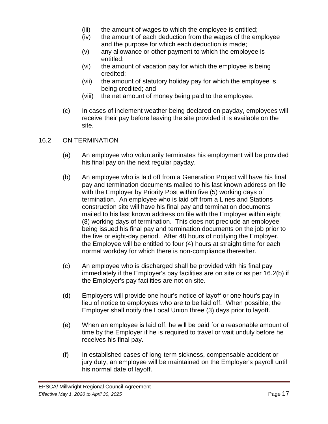- (iii) the amount of wages to which the employee is entitled;
- (iv) the amount of each deduction from the wages of the employee and the purpose for which each deduction is made;
- (v) any allowance or other payment to which the employee is entitled;
- (vi) the amount of vacation pay for which the employee is being credited;
- (vii) the amount of statutory holiday pay for which the employee is being credited; and
- (viii) the net amount of money being paid to the employee.
- (c) In cases of inclement weather being declared on payday, employees will receive their pay before leaving the site provided it is available on the site.

#### 16.2 ON TERMINATION

- (a) An employee who voluntarily terminates his employment will be provided his final pay on the next regular payday.
- (b) An employee who is laid off from a Generation Project will have his final pay and termination documents mailed to his last known address on file with the Employer by Priority Post within five (5) working days of termination. An employee who is laid off from a Lines and Stations construction site will have his final pay and termination documents mailed to his last known address on file with the Employer within eight (8) working days of termination. This does not preclude an employee being issued his final pay and termination documents on the job prior to the five or eight-day period. After 48 hours of notifying the Employer, the Employee will be entitled to four (4) hours at straight time for each normal workday for which there is non-compliance thereafter.
- (c) An employee who is discharged shall be provided with his final pay immediately if the Employer's pay facilities are on site or as per 16.2(b) if the Employer's pay facilities are not on site.
- (d) Employers will provide one hour's notice of layoff or one hour's pay in lieu of notice to employees who are to be laid off. When possible, the Employer shall notify the Local Union three (3) days prior to layoff.
- (e) When an employee is laid off, he will be paid for a reasonable amount of time by the Employer if he is required to travel or wait unduly before he receives his final pay.
- (f) In established cases of long-term sickness, compensable accident or jury duty, an employee will be maintained on the Employer's payroll until his normal date of layoff.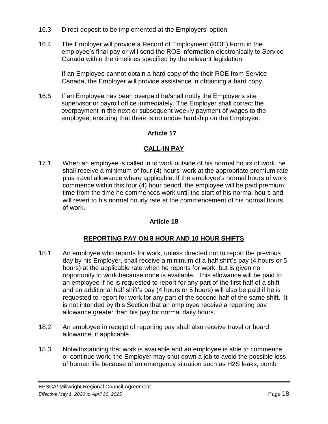- 16.3 Direct deposit to be implemented at the Employers' option.
- 16.4 The Employer will provide a Record of Employment (ROE) Form in the employee's final pay or will send the ROE information electronically to Service Canada within the timelines specified by the relevant legislation.

If an Employee cannot obtain a hard copy of the their ROE from Service Canada, the Employer will provide assistance in obtaining a hard copy.

16.5 If an Employee has been overpaid he/shall notify the Employer's site supervisor or payroll office immediately. The Employer shall correct the overpayment in the next or subsequent weekly payment of wages to the employee, ensuring that there is no undue hardship on the Employee.

# **Article 17**

# **CALL-IN PAY**

<span id="page-20-0"></span>17.1 When an employee is called in to work outside of his normal hours of work, he shall receive a minimum of four (4) hours' work at the appropriate premium rate plus travel allowance where applicable. If the employee's normal hours of work commence within this four (4) hour period, the employee will be paid premium time from the time he commences work until the start of his normal hours and will revert to his normal hourly rate at the commencement of his normal hours of work.

## **Article 18**

## **REPORTING PAY ON 8 HOUR AND 10 HOUR SHIFTS**

- <span id="page-20-1"></span>18.1 An employee who reports for work, unless directed not to report the previous day by his Employer, shall receive a minimum of a half shift's pay (4 hours or 5 hours) at the applicable rate when he reports for work, but is given no opportunity to work because none is available. This allowance will be paid to an employee if he is requested to report for any part of the first half of a shift and an additional half shift's pay (4 hours or 5 hours) will also be paid if he is requested to report for work for any part of the second half of the same shift. It is not intended by this Section that an employee receive a reporting pay allowance greater than his pay for normal daily hours.
- 18.2 An employee in receipt of reporting pay shall also receive travel or board allowance, if applicable.
- 18.3 Notwithstanding that work is available and an employee is able to commence or continue work, the Employer may shut down a job to avoid the possible loss of human life because of an emergency situation such as H2S leaks, bomb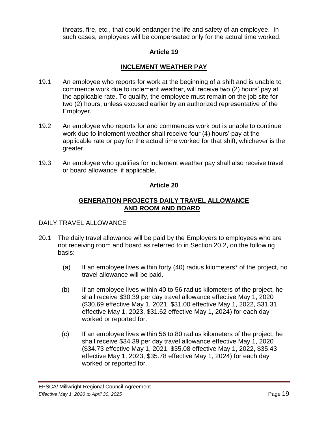threats, fire, etc., that could endanger the life and safety of an employee. In such cases, employees will be compensated only for the actual time worked.

## **Article 19**

### **INCLEMENT WEATHER PAY**

- <span id="page-21-0"></span>19.1 An employee who reports for work at the beginning of a shift and is unable to commence work due to inclement weather, will receive two (2) hours' pay at the applicable rate. To qualify, the employee must remain on the job site for two (2) hours, unless excused earlier by an authorized representative of the Employer.
- 19.2 An employee who reports for and commences work but is unable to continue work due to inclement weather shall receive four (4) hours' pay at the applicable rate or pay for the actual time worked for that shift, whichever is the greater.
- <span id="page-21-1"></span>19.3 An employee who qualifies for inclement weather pay shall also receive travel or board allowance, if applicable.

#### **Article 20**

#### **GENERATION PROJECTS DAILY TRAVEL ALLOWANCE AND ROOM AND BOARD**

#### DAILY TRAVEL ALLOWANCE

- 20.1 The daily travel allowance will be paid by the Employers to employees who are not receiving room and board as referred to in Section 20.2, on the following basis:
	- (a) If an employee lives within forty (40) radius kilometers\* of the project, no travel allowance will be paid.
	- (b) If an employee lives within 40 to 56 radius kilometers of the project, he shall receive \$30.39 per day travel allowance effective May 1, 2020 (\$30.69 effective May 1, 2021, \$31.00 effective May 1, 2022, \$31.31 effective May 1, 2023, \$31.62 effective May 1, 2024) for each day worked or reported for.
	- (c) If an employee lives within 56 to 80 radius kilometers of the project, he shall receive \$34.39 per day travel allowance effective May 1, 2020 (\$34.73 effective May 1, 2021, \$35.08 effective May 1, 2022, \$35.43 effective May 1, 2023, \$35.78 effective May 1, 2024) for each day worked or reported for.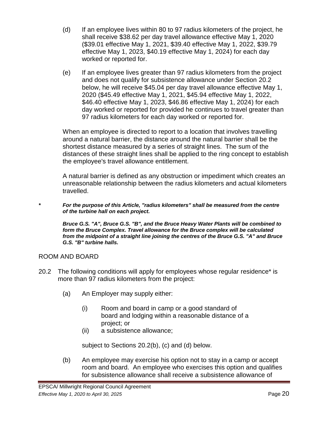- (d) If an employee lives within 80 to 97 radius kilometers of the project, he shall receive \$38.62 per day travel allowance effective May 1, 2020 (\$39.01 effective May 1, 2021, \$39.40 effective May 1, 2022, \$39.79 effective May 1, 2023, \$40.19 effective May 1, 2024) for each day worked or reported for.
- (e) If an employee lives greater than 97 radius kilometers from the project and does not qualify for subsistence allowance under Section 20.2 below, he will receive \$45.04 per day travel allowance effective May 1, 2020 (\$45.49 effective May 1, 2021, \$45.94 effective May 1, 2022, \$46.40 effective May 1, 2023, \$46.86 effective May 1, 2024) for each day worked or reported for provided he continues to travel greater than 97 radius kilometers for each day worked or reported for.

When an employee is directed to report to a location that involves travelling around a natural barrier, the distance around the natural barrier shall be the shortest distance measured by a series of straight lines. The sum of the distances of these straight lines shall be applied to the ring concept to establish the employee's travel allowance entitlement.

A natural barrier is defined as any obstruction or impediment which creates an unreasonable relationship between the radius kilometers and actual kilometers travelled.

*\* For the purpose of this Article, "radius kilometers" shall be measured from the centre of the turbine hall on each project.*

*Bruce G.S. "A", Bruce G.S. "B", and the Bruce Heavy Water Plants will be combined to form the Bruce Complex. Travel allowance for the Bruce complex will be calculated from the midpoint of a straight line joining the centres of the Bruce G.S. "A" and Bruce G.S. "B" turbine halls.*

## ROOM AND BOARD

- 20.2 The following conditions will apply for employees whose regular residence\* is more than 97 radius kilometers from the project:
	- (a) An Employer may supply either:
		- (i) Room and board in camp or a good standard of board and lodging within a reasonable distance of a project; or
		- (ii) a subsistence allowance;

subject to Sections 20.2(b), (c) and (d) below.

(b) An employee may exercise his option not to stay in a camp or accept room and board. An employee who exercises this option and qualifies for subsistence allowance shall receive a subsistence allowance of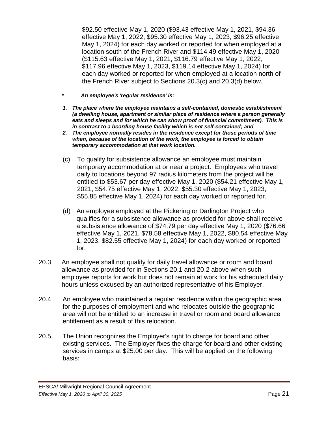\$92.50 effective May 1, 2020 (\$93.43 effective May 1, 2021, \$94.36 effective May 1, 2022, \$95.30 effective May 1, 2023, \$96.25 effective May 1, 2024) for each day worked or reported for when employed at a location south of the French River and \$114.49 effective May 1, 2020 (\$115.63 effective May 1, 2021, \$116.79 effective May 1, 2022, \$117.96 effective May 1, 2023, \$119.14 effective May 1, 2024) for each day worked or reported for when employed at a location north of the French River subject to Sections 20.3(c) and 20.3(d) below.

- *\* An employee's 'regular residence' is:*
- *1. The place where the employee maintains a self-contained, domestic establishment (a dwelling house, apartment or similar place of residence where a person generally eats and sleeps and for which he can show proof of financial commitment). This is in contrast to a boarding house facility which is not self-contained; and*
- *2. The employee normally resides in the residence except for those periods of time when, because of the location of the work, the employee is forced to obtain temporary accommodation at that work location.*
- (c) To qualify for subsistence allowance an employee must maintain temporary accommodation at or near a project. Employees who travel daily to locations beyond 97 radius kilometers from the project will be entitled to \$53.67 per day effective May 1, 2020 (\$54.21 effective May 1, 2021, \$54.75 effective May 1, 2022, \$55.30 effective May 1, 2023, \$55.85 effective May 1, 2024) for each day worked or reported for.
- (d) An employee employed at the Pickering or Darlington Project who qualifies for a subsistence allowance as provided for above shall receive a subsistence allowance of \$74.79 per day effective May 1, 2020 (\$76.66 effective May 1, 2021, \$78.58 effective May 1, 2022, \$80.54 effective May 1, 2023, \$82.55 effective May 1, 2024) for each day worked or reported for.
- 20.3 An employee shall not qualify for daily travel allowance or room and board allowance as provided for in Sections 20.1 and 20.2 above when such employee reports for work but does not remain at work for his scheduled daily hours unless excused by an authorized representative of his Employer.
- 20.4 An employee who maintained a regular residence within the geographic area for the purposes of employment and who relocates outside the geographic area will not be entitled to an increase in travel or room and board allowance entitlement as a result of this relocation.
- 20.5 The Union recognizes the Employer's right to charge for board and other existing services. The Employer fixes the charge for board and other existing services in camps at \$25.00 per day. This will be applied on the following basis: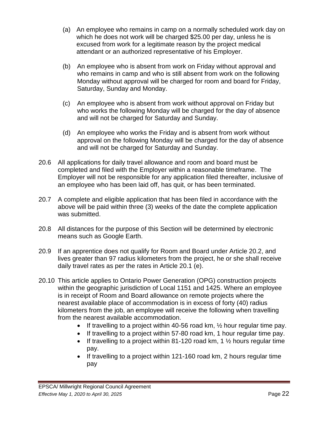- (a) An employee who remains in camp on a normally scheduled work day on which he does not work will be charged \$25.00 per day, unless he is excused from work for a legitimate reason by the project medical attendant or an authorized representative of his Employer.
- (b) An employee who is absent from work on Friday without approval and who remains in camp and who is still absent from work on the following Monday without approval will be charged for room and board for Friday, Saturday, Sunday and Monday.
- (c) An employee who is absent from work without approval on Friday but who works the following Monday will be charged for the day of absence and will not be charged for Saturday and Sunday.
- (d) An employee who works the Friday and is absent from work without approval on the following Monday will be charged for the day of absence and will not be charged for Saturday and Sunday.
- 20.6 All applications for daily travel allowance and room and board must be completed and filed with the Employer within a reasonable timeframe. The Employer will not be responsible for any application filed thereafter, inclusive of an employee who has been laid off, has quit, or has been terminated.
- 20.7 A complete and eligible application that has been filed in accordance with the above will be paid within three (3) weeks of the date the complete application was submitted.
- 20.8 All distances for the purpose of this Section will be determined by electronic means such as Google Earth.
- 20.9 If an apprentice does not qualify for Room and Board under Article 20.2, and lives greater than 97 radius kilometers from the project, he or she shall receive daily travel rates as per the rates in Article 20.1 (e).
- 20.10 This article applies to Ontario Power Generation (OPG) construction projects within the geographic jurisdiction of Local 1151 and 1425. Where an employee is in receipt of Room and Board allowance on remote projects where the nearest available place of accommodation is in excess of forty (40) radius kilometers from the job, an employee will receive the following when travelling from the nearest available accommodation.
	- If travelling to a project within 40-56 road km,  $\frac{1}{2}$  hour regular time pay.
	- If travelling to a project within 57-80 road km, 1 hour regular time pay.
	- If travelling to a project within 81-120 road km, 1  $\frac{1}{2}$  hours regular time pay.
	- $\bullet$  If travelling to a project within 121-160 road km, 2 hours regular time pay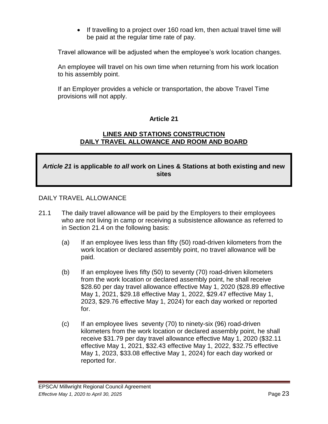• If travelling to a project over 160 road km, then actual travel time will be paid at the regular time rate of pay.

Travel allowance will be adjusted when the employee's work location changes.

An employee will travel on his own time when returning from his work location to his assembly point.

<span id="page-25-0"></span>If an Employer provides a vehicle or transportation, the above Travel Time provisions will not apply.

#### **Article 21**

#### **LINES AND STATIONS CONSTRUCTION DAILY TRAVEL ALLOWANCE AND ROOM AND BOARD**

# *Article 21* **is applicable** *to all* **work on Lines & Stations at both existing and new sites**

#### DAILY TRAVEL ALLOWANCE

- 21.1 The daily travel allowance will be paid by the Employers to their employees who are not living in camp or receiving a subsistence allowance as referred to in Section 21.4 on the following basis:
	- (a) If an employee lives less than fifty (50) road-driven kilometers from the work location or declared assembly point, no travel allowance will be paid.
	- (b) If an employee lives fifty (50) to seventy (70) road-driven kilometers from the work location or declared assembly point, he shall receive \$28.60 per day travel allowance effective May 1, 2020 (\$28.89 effective May 1, 2021, \$29.18 effective May 1, 2022, \$29.47 effective May 1, 2023, \$29.76 effective May 1, 2024) for each day worked or reported for.
	- (c) If an employee lives seventy (70) to ninety-six (96) road-driven kilometers from the work location or declared assembly point, he shall receive \$31.79 per day travel allowance effective May 1, 2020 (\$32.11 effective May 1, 2021, \$32.43 effective May 1, 2022, \$32.75 effective May 1, 2023, \$33.08 effective May 1, 2024) for each day worked or reported for.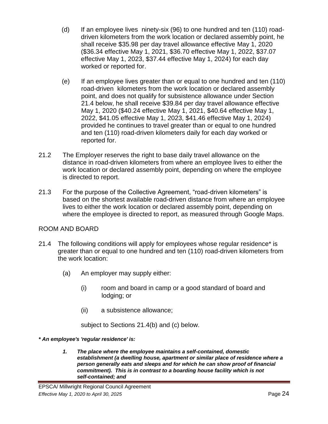- (d) If an employee lives ninety-six (96) to one hundred and ten (110) roaddriven kilometers from the work location or declared assembly point, he shall receive \$35.98 per day travel allowance effective May 1, 2020 (\$36.34 effective May 1, 2021, \$36.70 effective May 1, 2022, \$37.07 effective May 1, 2023, \$37.44 effective May 1, 2024) for each day worked or reported for.
- (e) If an employee lives greater than or equal to one hundred and ten (110) road-driven kilometers from the work location or declared assembly point, and does not qualify for subsistence allowance under Section 21.4 below, he shall receive \$39.84 per day travel allowance effective May 1, 2020 (\$40.24 effective May 1, 2021, \$40.64 effective May 1, 2022, \$41.05 effective May 1, 2023, \$41.46 effective May 1, 2024) provided he continues to travel greater than or equal to one hundred and ten (110) road-driven kilometers daily for each day worked or reported for.
- 21.2 The Employer reserves the right to base daily travel allowance on the distance in road-driven kilometers from where an employee lives to either the work location or declared assembly point, depending on where the employee is directed to report.
- 21.3 For the purpose of the Collective Agreement, "road-driven kilometers" is based on the shortest available road-driven distance from where an employee lives to either the work location or declared assembly point, depending on where the employee is directed to report, as measured through Google Maps.

## ROOM AND BOARD

- 21.4 The following conditions will apply for employees whose regular residence\* is greater than or equal to one hundred and ten (110) road-driven kilometers from the work location:
	- (a) An employer may supply either:
		- (i) room and board in camp or a good standard of board and lodging; or
		- (ii) a subsistence allowance;

subject to Sections 21.4(b) and (c) below.

- *\* An employee's 'regular residence' is:*
	- *1. The place where the employee maintains a self-contained, domestic establishment (a dwelling house, apartment or similar place of residence where a person generally eats and sleeps and for which he can show proof of financial commitment). This is in contrast to a boarding house facility which is not self-contained; and*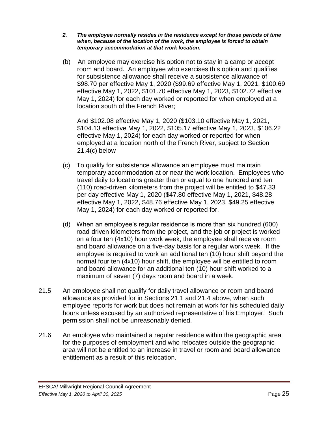- *2. The employee normally resides in the residence except for those periods of time when, because of the location of the work, the employee is forced to obtain temporary accommodation at that work location.*
- (b) An employee may exercise his option not to stay in a camp or accept room and board. An employee who exercises this option and qualifies for subsistence allowance shall receive a subsistence allowance of \$98.70 per effective May 1, 2020 (\$99.69 effective May 1, 2021, \$100.69 effective May 1, 2022, \$101.70 effective May 1, 2023, \$102.72 effective May 1, 2024) for each day worked or reported for when employed at a location south of the French River;

And \$102.08 effective May 1, 2020 (\$103.10 effective May 1, 2021, \$104.13 effective May 1, 2022, \$105.17 effective May 1, 2023, \$106.22 effective May 1, 2024) for each day worked or reported for when employed at a location north of the French River, subject to Section 21.4(c) below

- (c) To qualify for subsistence allowance an employee must maintain temporary accommodation at or near the work location. Employees who travel daily to locations greater than or equal to one hundred and ten (110) road-driven kilometers from the project will be entitled to \$47.33 per day effective May 1, 2020 (\$47.80 effective May 1, 2021, \$48.28 effective May 1, 2022, \$48.76 effective May 1, 2023, \$49.25 effective May 1, 2024) for each day worked or reported for.
- (d) When an employee's regular residence is more than six hundred (600) road-driven kilometers from the project, and the job or project is worked on a four ten (4x10) hour work week, the employee shall receive room and board allowance on a five-day basis for a regular work week. If the employee is required to work an additional ten (10) hour shift beyond the normal four ten (4x10) hour shift, the employee will be entitled to room and board allowance for an additional ten (10) hour shift worked to a maximum of seven (7) days room and board in a week.
- 21.5 An employee shall not qualify for daily travel allowance or room and board allowance as provided for in Sections 21.1 and 21.4 above, when such employee reports for work but does not remain at work for his scheduled daily hours unless excused by an authorized representative of his Employer. Such permission shall not be unreasonably denied.
- 21.6 An employee who maintained a regular residence within the geographic area for the purposes of employment and who relocates outside the geographic area will not be entitled to an increase in travel or room and board allowance entitlement as a result of this relocation.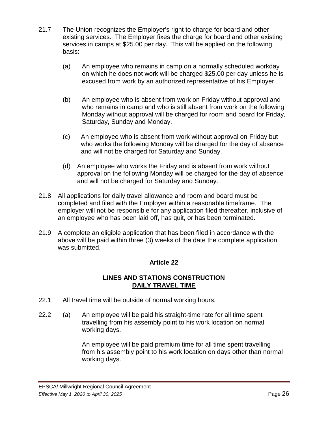- 21.7 The Union recognizes the Employer's right to charge for board and other existing services. The Employer fixes the charge for board and other existing services in camps at \$25.00 per day. This will be applied on the following basis:
	- (a) An employee who remains in camp on a normally scheduled workday on which he does not work will be charged \$25.00 per day unless he is excused from work by an authorized representative of his Employer.
	- (b) An employee who is absent from work on Friday without approval and who remains in camp and who is still absent from work on the following Monday without approval will be charged for room and board for Friday, Saturday, Sunday and Monday.
	- (c) An employee who is absent from work without approval on Friday but who works the following Monday will be charged for the day of absence and will not be charged for Saturday and Sunday.
	- (d) An employee who works the Friday and is absent from work without approval on the following Monday will be charged for the day of absence and will not be charged for Saturday and Sunday.
- 21.8 All applications for daily travel allowance and room and board must be completed and filed with the Employer within a reasonable timeframe. The employer will not be responsible for any application filed thereafter, inclusive of an employee who has been laid off, has quit, or has been terminated.
- <span id="page-28-0"></span>21.9 A complete an eligible application that has been filed in accordance with the above will be paid within three (3) weeks of the date the complete application was submitted.

#### **LINES AND STATIONS CONSTRUCTION DAILY TRAVEL TIME**

- 22.1 All travel time will be outside of normal working hours.
- 22.2 (a) An employee will be paid his straight-time rate for all time spent travelling from his assembly point to his work location on normal working days.

An employee will be paid premium time for all time spent travelling from his assembly point to his work location on days other than normal working days.

#### EPSCA/ Millwright Regional Council Agreement *Effective May 1, 2020 to April 30, 2025* Page 26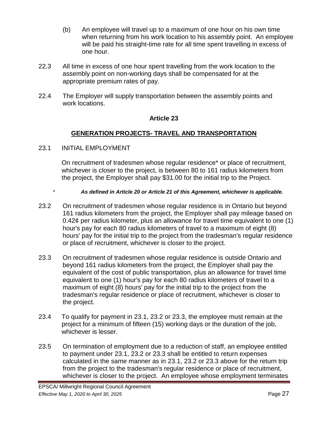- (b) An employee will travel up to a maximum of one hour on his own time when returning from his work location to his assembly point. An employee will be paid his straight-time rate for all time spent travelling in excess of one hour.
- 22.3 All time in excess of one hour spent travelling from the work location to the assembly point on non-working days shall be compensated for at the appropriate premium rates of pay.
- <span id="page-29-0"></span>22.4 The Employer will supply transportation between the assembly points and work locations.

# **GENERATION PROJECTS- TRAVEL AND TRANSPORTATION**

23.1 INITIAL EMPLOYMENT

On recruitment of tradesmen whose regular residence\* or place of recruitment, whichever is closer to the project, is between 80 to 161 radius kilometers from the project, the Employer shall pay \$31.00 for the initial trip to the Project.

- \* *As defined in Article 20 or Article 21 of this Agreement, whichever is applicable.*
- 23.2 On recruitment of tradesmen whose regular residence is in Ontario but beyond 161 radius kilometers from the project, the Employer shall pay mileage based on 0.42¢ per radius kilometer, plus an allowance for travel time equivalent to one (1) hour's pay for each 80 radius kilometers of travel to a maximum of eight (8) hours' pay for the initial trip to the project from the tradesman's regular residence or place of recruitment, whichever is closer to the project.
- 23.3 On recruitment of tradesmen whose regular residence is outside Ontario and beyond 161 radius kilometers from the project, the Employer shall pay the equivalent of the cost of public transportation, plus an allowance for travel time equivalent to one (1) hour's pay for each 80 radius kilometers of travel to a maximum of eight (8) hours' pay for the initial trip to the project from the tradesman's regular residence or place of recruitment, whichever is closer to the project.
- 23.4 To qualify for payment in 23.1, 23.2 or 23.3, the employee must remain at the project for a minimum of fifteen (15) working days or the duration of the job, whichever is lesser.
- 23.5 On termination of employment due to a reduction of staff, an employee entitled to payment under 23.1, 23.2 or 23.3 shall be entitled to return expenses calculated in the same manner as in 23.1, 23.2 or 23.3 above for the return trip from the project to the tradesman's regular residence or place of recruitment, whichever is closer to the project. An employee whose employment terminates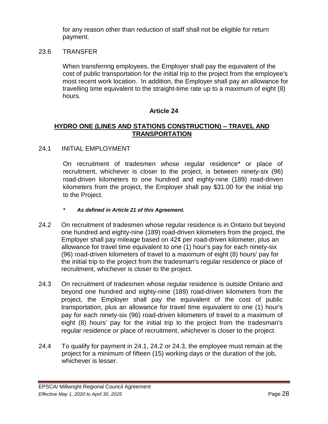for any reason other than reduction of staff shall not be eligible for return payment.

#### 23.6 TRANSFER

When transferring employees, the Employer shall pay the equivalent of the cost of public transportation for the initial trip to the project from the employee's most recent work location. In addition, the Employer shall pay an allowance for travelling time equivalent to the straight-time rate up to a maximum of eight (8) hours.

## **Article 24**

### <span id="page-30-0"></span>**HYDRO ONE (LINES AND STATIONS CONSTRUCTION) – TRAVEL AND TRANSPORTATION**

#### 24.1 INITIAL EMPLOYMENT

On recruitment of tradesmen whose regular residence\* or place of recruitment, whichever is closer to the project, is between ninety-six (96) road-driven kilometers to one hundred and eighty-nine (189) road-driven kilometers from the project, the Employer shall pay \$31.00 for the initial trip to the Project.

- *\* As defined in Article 21 of this Agreement.*
- 24.2 On recruitment of tradesmen whose regular residence is in Ontario but beyond one hundred and eighty-nine (189) road-driven kilometers from the project, the Employer shall pay mileage based on 42¢ per road-driven kilometer, plus an allowance for travel time equivalent to one (1) hour's pay for each ninety-six (96) road-driven kilometers of travel to a maximum of eight (8) hours' pay for the initial trip to the project from the tradesman's regular residence or place of recruitment, whichever is closer to the project.
- 24.3 On recruitment of tradesmen whose regular residence is outside Ontario and beyond one hundred and eighty-nine (189) road-driven kilometers from the project, the Employer shall pay the equivalent of the cost of public transportation, plus an allowance for travel time equivalent to one (1) hour's pay for each ninety-six (96) road-driven kilometers of travel to a maximum of eight (8) hours' pay for the initial trip to the project from the tradesman's regular residence or place of recruitment, whichever is closer to the project.
- 24.4 To qualify for payment in 24.1, 24.2 or 24.3, the employee must remain at the project for a minimum of fifteen (15) working days or the duration of the job, whichever is lesser.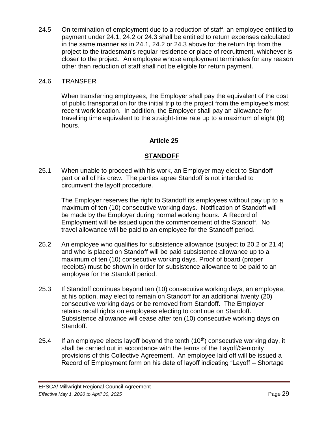24.5 On termination of employment due to a reduction of staff, an employee entitled to payment under 24.1, 24.2 or 24.3 shall be entitled to return expenses calculated in the same manner as in 24.1, 24.2 or 24.3 above for the return trip from the project to the tradesman's regular residence or place of recruitment, whichever is closer to the project. An employee whose employment terminates for any reason other than reduction of staff shall not be eligible for return payment.

### 24.6 TRANSFER

When transferring employees, the Employer shall pay the equivalent of the cost of public transportation for the initial trip to the project from the employee's most recent work location. In addition, the Employer shall pay an allowance for travelling time equivalent to the straight-time rate up to a maximum of eight (8) hours.

## **Article 25**

# **STANDOFF**

<span id="page-31-0"></span>25.1 When unable to proceed with his work, an Employer may elect to Standoff part or all of his crew. The parties agree Standoff is not intended to circumvent the layoff procedure.

The Employer reserves the right to Standoff its employees without pay up to a maximum of ten (10) consecutive working days. Notification of Standoff will be made by the Employer during normal working hours. A Record of Employment will be issued upon the commencement of the Standoff. No travel allowance will be paid to an employee for the Standoff period.

- 25.2 An employee who qualifies for subsistence allowance (subject to 20.2 or 21.4) and who is placed on Standoff will be paid subsistence allowance up to a maximum of ten (10) consecutive working days. Proof of board (proper receipts) must be shown in order for subsistence allowance to be paid to an employee for the Standoff period.
- 25.3 If Standoff continues beyond ten (10) consecutive working days, an employee, at his option, may elect to remain on Standoff for an additional twenty (20) consecutive working days or be removed from Standoff. The Employer retains recall rights on employees electing to continue on Standoff. Subsistence allowance will cease after ten (10) consecutive working days on Standoff.
- 25.4 If an employee elects layoff beyond the tenth  $(10<sup>th</sup>)$  consecutive working day, it shall be carried out in accordance with the terms of the Layoff/Seniority provisions of this Collective Agreement. An employee laid off will be issued a Record of Employment form on his date of layoff indicating "Layoff – Shortage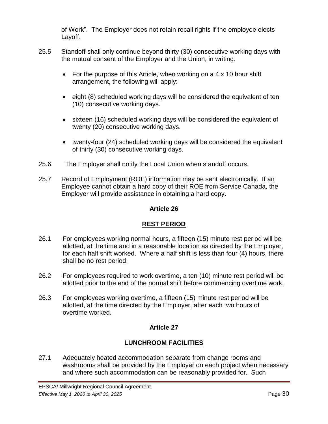of Work". The Employer does not retain recall rights if the employee elects Layoff.

- 25.5 Standoff shall only continue beyond thirty (30) consecutive working days with the mutual consent of the Employer and the Union, in writing.
	- For the purpose of this Article, when working on a 4 x 10 hour shift arrangement, the following will apply:
	- eight (8) scheduled working days will be considered the equivalent of ten (10) consecutive working days.
	- sixteen (16) scheduled working days will be considered the equivalent of twenty (20) consecutive working days.
	- twenty-four (24) scheduled working days will be considered the equivalent of thirty (30) consecutive working days.
- 25.6 The Employer shall notify the Local Union when standoff occurs.
- 25.7 Record of Employment (ROE) information may be sent electronically. If an Employee cannot obtain a hard copy of their ROE from Service Canada, the Employer will provide assistance in obtaining a hard copy.

# **Article 26**

# **REST PERIOD**

- <span id="page-32-0"></span>26.1 For employees working normal hours, a fifteen (15) minute rest period will be allotted, at the time and in a reasonable location as directed by the Employer, for each half shift worked. Where a half shift is less than four (4) hours, there shall be no rest period.
- 26.2 For employees required to work overtime, a ten (10) minute rest period will be allotted prior to the end of the normal shift before commencing overtime work.
- <span id="page-32-1"></span>26.3 For employees working overtime, a fifteen (15) minute rest period will be allotted, at the time directed by the Employer, after each two hours of overtime worked.

# **Article 27**

# **LUNCHROOM FACILITIES**

27.1 Adequately heated accommodation separate from change rooms and washrooms shall be provided by the Employer on each project when necessary and where such accommodation can be reasonably provided for. Such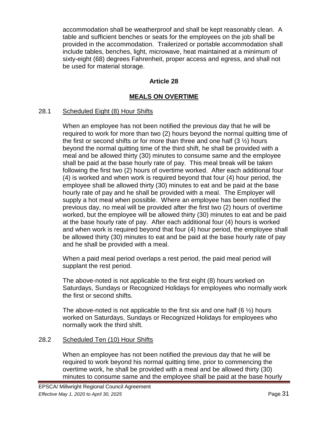accommodation shall be weatherproof and shall be kept reasonably clean. A table and sufficient benches or seats for the employees on the job shall be provided in the accommodation. Trailerized or portable accommodation shall include tables, benches, light, microwave, heat maintained at a minimum of sixty-eight (68) degrees Fahrenheit, proper access and egress, and shall not be used for material storage.

# **Article 28**

# **MEALS ON OVERTIME**

## <span id="page-33-0"></span>28.1 Scheduled Eight (8) Hour Shifts

When an employee has not been notified the previous day that he will be required to work for more than two (2) hours beyond the normal quitting time of the first or second shifts or for more than three and one half  $(3 \frac{1}{2})$  hours beyond the normal quitting time of the third shift, he shall be provided with a meal and be allowed thirty (30) minutes to consume same and the employee shall be paid at the base hourly rate of pay. This meal break will be taken following the first two (2) hours of overtime worked. After each additional four (4) is worked and when work is required beyond that four (4) hour period, the employee shall be allowed thirty (30) minutes to eat and be paid at the base hourly rate of pay and he shall be provided with a meal. The Employer will supply a hot meal when possible. Where an employee has been notified the previous day, no meal will be provided after the first two (2) hours of overtime worked, but the employee will be allowed thirty (30) minutes to eat and be paid at the base hourly rate of pay. After each additional four (4) hours is worked and when work is required beyond that four (4) hour period, the employee shall be allowed thirty (30) minutes to eat and be paid at the base hourly rate of pay and he shall be provided with a meal.

When a paid meal period overlaps a rest period, the paid meal period will supplant the rest period.

The above-noted is not applicable to the first eight (8) hours worked on Saturdays, Sundays or Recognized Holidays for employees who normally work the first or second shifts.

The above-noted is not applicable to the first six and one half  $(6 \frac{1}{2})$  hours worked on Saturdays, Sundays or Recognized Holidays for employees who normally work the third shift.

## 28.2 Scheduled Ten (10) Hour Shifts

When an employee has not been notified the previous day that he will be required to work beyond his normal quitting time, prior to commencing the overtime work, he shall be provided with a meal and be allowed thirty (30) minutes to consume same and the employee shall be paid at the base hourly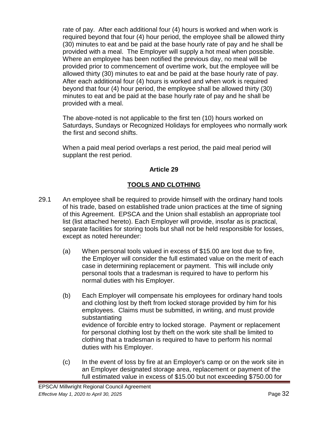rate of pay. After each additional four (4) hours is worked and when work is required beyond that four (4) hour period, the employee shall be allowed thirty (30) minutes to eat and be paid at the base hourly rate of pay and he shall be provided with a meal. The Employer will supply a hot meal when possible. Where an employee has been notified the previous day, no meal will be provided prior to commencement of overtime work, but the employee will be allowed thirty (30) minutes to eat and be paid at the base hourly rate of pay. After each additional four (4) hours is worked and when work is required beyond that four (4) hour period, the employee shall be allowed thirty (30) minutes to eat and be paid at the base hourly rate of pay and he shall be provided with a meal.

The above-noted is not applicable to the first ten (10) hours worked on Saturdays, Sundays or Recognized Holidays for employees who normally work the first and second shifts.

When a paid meal period overlaps a rest period, the paid meal period will supplant the rest period.

# **Article 29**

# **TOOLS AND CLOTHING**

- <span id="page-34-0"></span>29.1 An employee shall be required to provide himself with the ordinary hand tools of his trade, based on established trade union practices at the time of signing of this Agreement. EPSCA and the Union shall establish an appropriate tool list (list attached hereto). Each Employer will provide, insofar as is practical, separate facilities for storing tools but shall not be held responsible for losses, except as noted hereunder:
	- (a) When personal tools valued in excess of \$15.00 are lost due to fire, the Employer will consider the full estimated value on the merit of each case in determining replacement or payment. This will include only personal tools that a tradesman is required to have to perform his normal duties with his Employer.
	- (b) Each Employer will compensate his employees for ordinary hand tools and clothing lost by theft from locked storage provided by him for his employees. Claims must be submitted, in writing, and must provide substantiating evidence of forcible entry to locked storage. Payment or replacement for personal clothing lost by theft on the work site shall be limited to clothing that a tradesman is required to have to perform his normal duties with his Employer.
	- (c) In the event of loss by fire at an Employer's camp or on the work site in an Employer designated storage area, replacement or payment of the full estimated value in excess of \$15.00 but not exceeding \$750.00 for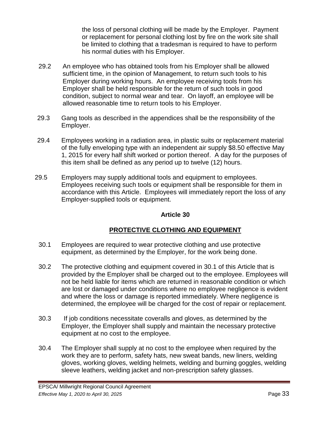the loss of personal clothing will be made by the Employer. Payment or replacement for personal clothing lost by fire on the work site shall be limited to clothing that a tradesman is required to have to perform his normal duties with his Employer.

- 29.2 An employee who has obtained tools from his Employer shall be allowed sufficient time, in the opinion of Management, to return such tools to his Employer during working hours. An employee receiving tools from his Employer shall be held responsible for the return of such tools in good condition, subject to normal wear and tear. On layoff, an employee will be allowed reasonable time to return tools to his Employer.
- 29.3 Gang tools as described in the appendices shall be the responsibility of the Employer.
- 29.4 Employees working in a radiation area, in plastic suits or replacement material of the fully enveloping type with an independent air supply \$8.50 effective May 1, 2015 for every half shift worked or portion thereof. A day for the purposes of this item shall be defined as any period up to twelve (12) hours.
- 29.5 Employers may supply additional tools and equipment to employees. Employees receiving such tools or equipment shall be responsible for them in accordance with this Article. Employees will immediately report the loss of any Employer-supplied tools or equipment.

# **Article 30**

# **PROTECTIVE CLOTHING AND EQUIPMENT**

- <span id="page-35-0"></span>30.1 Employees are required to wear protective clothing and use protective equipment, as determined by the Employer, for the work being done.
- 30.2 The protective clothing and equipment covered in 30.1 of this Article that is provided by the Employer shall be charged out to the employee. Employees will not be held liable for items which are returned in reasonable condition or which are lost or damaged under conditions where no employee negligence is evident and where the loss or damage is reported immediately. Where negligence is determined, the employee will be charged for the cost of repair or replacement.
- 30.3 If job conditions necessitate coveralls and gloves, as determined by the Employer, the Employer shall supply and maintain the necessary protective equipment at no cost to the employee.
- 30.4 The Employer shall supply at no cost to the employee when required by the work they are to perform, safety hats, new sweat bands, new liners, welding gloves, working gloves, welding helmets, welding and burning goggles, welding sleeve leathers, welding jacket and non-prescription safety glasses.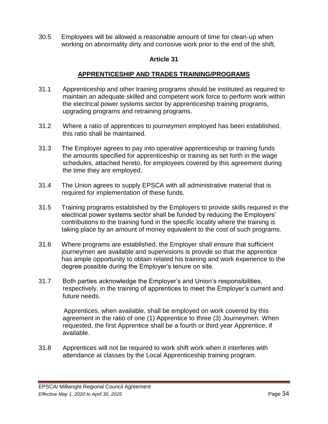30.5 Employees will be allowed a reasonable amount of time for clean-up when working on abnormality dirty and corrosive work prior to the end of the shift.

### **Article 31**

### **APPRENTICESHIP AND TRADES TRAINING/PROGRAMS**

- 31.1 Apprenticeship and other training programs should be instituted as required to maintain an adequate skilled and competent work force to perform work within the electrical power systems sector by apprenticeship training programs, upgrading programs and retraining programs.
- 31.2 Where a ratio of apprentices to journeymen employed has been established, this ratio shall be maintained.
- 31.3 The Employer agrees to pay into operative apprenticeship or training funds the amounts specified for apprenticeship or training as set forth in the wage schedules, attached hereto, for employees covered by this agreement during the time they are employed.
- 31.4 The Union agrees to supply EPSCA with all administrative material that is required for implementation of these funds.
- 31.5 Training programs established by the Employers to provide skills required in the electrical power systems sector shall be funded by reducing the Employers' contributions to the training fund in the specific locality where the training is taking place by an amount of money equivalent to the cost of such programs.
- 31.6 Where programs are established, the Employer shall ensure that sufficient journeymen are available and supervisions is provide so that the apprentice has ample opportunity to obtain related his training and work experience to the degree possible during the Employer's tenure on site.
- 31.7 Both parties acknowledge the Employer's and Union's responsibilities, respectively, in the training of apprentices to meet the Employer's current and future needs.

 Apprentices, when available, shall be employed on work covered by this agreement in the ratio of one (1) Apprentice to three (3) Journeymen. When requested, the first Apprentice shall be a fourth or third year Apprentice, if available.

31.8 Apprentices will not be required to work shift work when it interferes with attendance at classes by the Local Apprenticeship training program.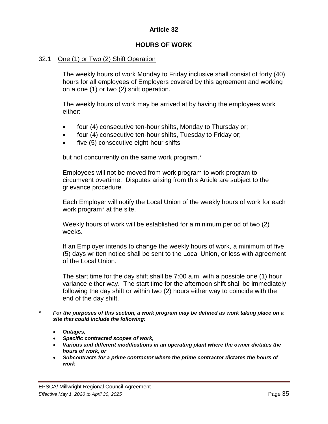### **Article 32**

### **HOURS OF WORK**

#### 32.1 One (1) or Two (2) Shift Operation

The weekly hours of work Monday to Friday inclusive shall consist of forty (40) hours for all employees of Employers covered by this agreement and working on a one (1) or two (2) shift operation.

The weekly hours of work may be arrived at by having the employees work either:

- four (4) consecutive ten-hour shifts, Monday to Thursday or;
- four (4) consecutive ten-hour shifts, Tuesday to Friday or;
- five (5) consecutive eight-hour shifts

but not concurrently on the same work program.\*

Employees will not be moved from work program to work program to circumvent overtime. Disputes arising from this Article are subject to the grievance procedure.

Each Employer will notify the Local Union of the weekly hours of work for each work program\* at the site.

Weekly hours of work will be established for a minimum period of two (2) weeks.

If an Employer intends to change the weekly hours of work, a minimum of five (5) days written notice shall be sent to the Local Union, or less with agreement of the Local Union.

The start time for the day shift shall be 7:00 a.m. with a possible one (1) hour variance either way. The start time for the afternoon shift shall be immediately following the day shift or within two (2) hours either way to coincide with the end of the day shift.

- *\* For the purposes of this section, a work program may be defined as work taking place on a site that could include the following:*
	- *Outages,*
	- *Specific contracted scopes of work,*
	- *Various and different modifications in an operating plant where the owner dictates the hours of work, or*
	- *Subcontracts for a prime contractor where the prime contractor dictates the hours of work*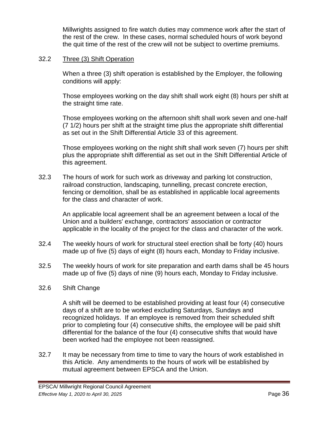Millwrights assigned to fire watch duties may commence work after the start of the rest of the crew. In these cases, normal scheduled hours of work beyond the quit time of the rest of the crew will not be subject to overtime premiums.

### 32.2 Three (3) Shift Operation

When a three (3) shift operation is established by the Employer, the following conditions will apply:

Those employees working on the day shift shall work eight (8) hours per shift at the straight time rate.

Those employees working on the afternoon shift shall work seven and one-half (7 1/2) hours per shift at the straight time plus the appropriate shift differential as set out in the Shift Differential Article 33 of this agreement.

Those employees working on the night shift shall work seven (7) hours per shift plus the appropriate shift differential as set out in the Shift Differential Article of this agreement.

32.3 The hours of work for such work as driveway and parking lot construction, railroad construction, landscaping, tunnelling, precast concrete erection, fencing or demolition, shall be as established in applicable local agreements for the class and character of work.

An applicable local agreement shall be an agreement between a local of the Union and a builders' exchange, contractors' association or contractor applicable in the locality of the project for the class and character of the work.

- 32.4 The weekly hours of work for structural steel erection shall be forty (40) hours made up of five (5) days of eight (8) hours each, Monday to Friday inclusive.
- 32.5 The weekly hours of work for site preparation and earth dams shall be 45 hours made up of five (5) days of nine (9) hours each, Monday to Friday inclusive.

#### 32.6 Shift Change

A shift will be deemed to be established providing at least four (4) consecutive days of a shift are to be worked excluding Saturdays, Sundays and recognized holidays. If an employee is removed from their scheduled shift prior to completing four (4) consecutive shifts, the employee will be paid shift differential for the balance of the four (4) consecutive shifts that would have been worked had the employee not been reassigned.

32.7 It may be necessary from time to time to vary the hours of work established in this Article. Any amendments to the hours of work will be established by mutual agreement between EPSCA and the Union.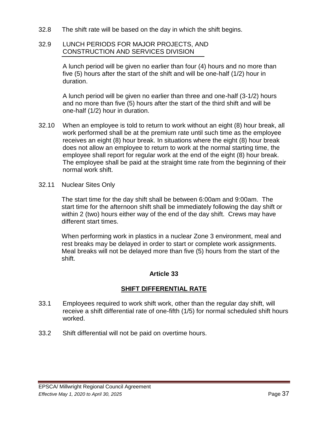32.8 The shift rate will be based on the day in which the shift begins.

### 32.9 LUNCH PERIODS FOR MAJOR PROJECTS, AND CONSTRUCTION AND SERVICES DIVISION

A lunch period will be given no earlier than four (4) hours and no more than five (5) hours after the start of the shift and will be one-half (1/2) hour in duration.

A lunch period will be given no earlier than three and one-half (3-1/2) hours and no more than five (5) hours after the start of the third shift and will be one-half (1/2) hour in duration.

- 32.10 When an employee is told to return to work without an eight (8) hour break, all work performed shall be at the premium rate until such time as the employee receives an eight (8) hour break. In situations where the eight (8) hour break does not allow an employee to return to work at the normal starting time, the employee shall report for regular work at the end of the eight (8) hour break. The employee shall be paid at the straight time rate from the beginning of their normal work shift.
- 32.11 Nuclear Sites Only

The start time for the day shift shall be between 6:00am and 9:00am. The start time for the afternoon shift shall be immediately following the day shift or within 2 (two) hours either way of the end of the day shift. Crews may have different start times.

When performing work in plastics in a nuclear Zone 3 environment, meal and rest breaks may be delayed in order to start or complete work assignments. Meal breaks will not be delayed more than five (5) hours from the start of the shift.

### **Article 33**

### **SHIFT DIFFERENTIAL RATE**

- 33.1 Employees required to work shift work, other than the regular day shift, will receive a shift differential rate of one-fifth (1/5) for normal scheduled shift hours worked.
- 33.2 Shift differential will not be paid on overtime hours.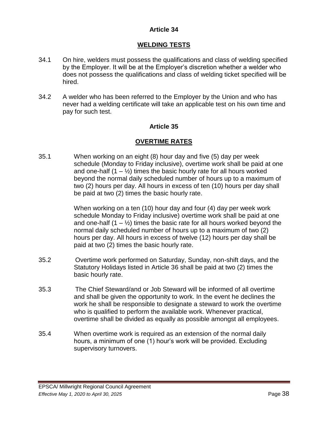### **Article 34**

### **WELDING TESTS**

- 34.1 On hire, welders must possess the qualifications and class of welding specified by the Employer. It will be at the Employer's discretion whether a welder who does not possess the qualifications and class of welding ticket specified will be hired.
- 34.2 A welder who has been referred to the Employer by the Union and who has never had a welding certificate will take an applicable test on his own time and pay for such test.

### **Article 35**

#### **OVERTIME RATES**

35.1 When working on an eight (8) hour day and five (5) day per week schedule (Monday to Friday inclusive), overtime work shall be paid at one and one-half  $(1 - \frac{1}{2})$  times the basic hourly rate for all hours worked beyond the normal daily scheduled number of hours up to a maximum of two (2) hours per day. All hours in excess of ten (10) hours per day shall be paid at two (2) times the basic hourly rate.

> When working on a ten (10) hour day and four (4) day per week work schedule Monday to Friday inclusive) overtime work shall be paid at one and one-half  $(1 - \frac{1}{2})$  times the basic rate for all hours worked beyond the normal daily scheduled number of hours up to a maximum of two (2) hours per day. All hours in excess of twelve (12) hours per day shall be paid at two (2) times the basic hourly rate.

- 35.2 Overtime work performed on Saturday, Sunday, non-shift days, and the Statutory Holidays listed in Article 36 shall be paid at two (2) times the basic hourly rate.
- 35.3 The Chief Steward/and or Job Steward will be informed of all overtime and shall be given the opportunity to work. In the event he declines the work he shall be responsible to designate a steward to work the overtime who is qualified to perform the available work. Whenever practical, overtime shall be divided as equally as possible amongst all employees.
- 35.4 When overtime work is required as an extension of the normal daily hours, a minimum of one (1) hour's work will be provided. Excluding supervisory turnovers.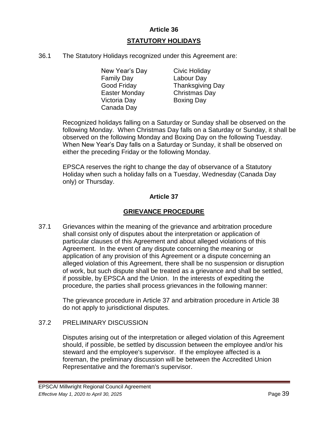### **Article 36**

# **STATUTORY HOLIDAYS**

36.1 The Statutory Holidays recognized under this Agreement are:

New Year's Day Civic Holiday Family Day Labour Day Easter Monday Christmas Day Victoria Day Boxing Day Canada Day

Good Friday Thanksgiving Day

Recognized holidays falling on a Saturday or Sunday shall be observed on the following Monday. When Christmas Day falls on a Saturday or Sunday, it shall be observed on the following Monday and Boxing Day on the following Tuesday. When New Year's Day falls on a Saturday or Sunday, it shall be observed on either the preceding Friday or the following Monday.

EPSCA reserves the right to change the day of observance of a Statutory Holiday when such a holiday falls on a Tuesday, Wednesday (Canada Day only) or Thursday.

### **Article 37**

# **GRIEVANCE PROCEDURE**

37.1 Grievances within the meaning of the grievance and arbitration procedure shall consist only of disputes about the interpretation or application of particular clauses of this Agreement and about alleged violations of this Agreement. In the event of any dispute concerning the meaning or application of any provision of this Agreement or a dispute concerning an alleged violation of this Agreement, there shall be no suspension or disruption of work, but such dispute shall be treated as a grievance and shall be settled, if possible, by EPSCA and the Union. In the interests of expediting the procedure, the parties shall process grievances in the following manner:

The grievance procedure in Article 37 and arbitration procedure in Article 38 do not apply to jurisdictional disputes.

### 37.2 PRELIMINARY DISCUSSION

Disputes arising out of the interpretation or alleged violation of this Agreement should, if possible, be settled by discussion between the employee and/or his steward and the employee's supervisor. If the employee affected is a foreman, the preliminary discussion will be between the Accredited Union Representative and the foreman's supervisor.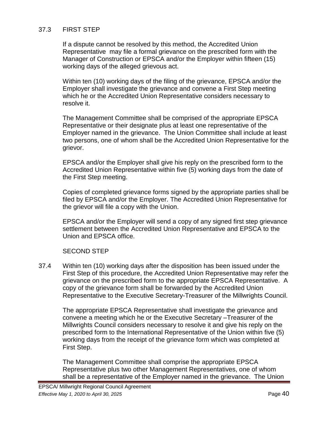### 37.3 FIRST STEP

If a dispute cannot be resolved by this method, the Accredited Union Representative may file a formal grievance on the prescribed form with the Manager of Construction or EPSCA and/or the Employer within fifteen (15) working days of the alleged grievous act.

Within ten (10) working days of the filing of the grievance, EPSCA and/or the Employer shall investigate the grievance and convene a First Step meeting which he or the Accredited Union Representative considers necessary to resolve it.

The Management Committee shall be comprised of the appropriate EPSCA Representative or their designate plus at least one representative of the Employer named in the grievance. The Union Committee shall include at least two persons, one of whom shall be the Accredited Union Representative for the grievor.

EPSCA and/or the Employer shall give his reply on the prescribed form to the Accredited Union Representative within five (5) working days from the date of the First Step meeting.

Copies of completed grievance forms signed by the appropriate parties shall be filed by EPSCA and/or the Employer. The Accredited Union Representative for the grievor will file a copy with the Union.

EPSCA and/or the Employer will send a copy of any signed first step grievance settlement between the Accredited Union Representative and EPSCA to the Union and EPSCA office.

#### SECOND STEP

37.4 Within ten (10) working days after the disposition has been issued under the First Step of this procedure, the Accredited Union Representative may refer the grievance on the prescribed form to the appropriate EPSCA Representative. A copy of the grievance form shall be forwarded by the Accredited Union Representative to the Executive Secretary-Treasurer of the Millwrights Council.

The appropriate EPSCA Representative shall investigate the grievance and convene a meeting which he or the Executive Secretary –Treasurer of the Millwrights Council considers necessary to resolve it and give his reply on the prescribed form to the International Representative of the Union within five (5) working days from the receipt of the grievance form which was completed at First Step.

The Management Committee shall comprise the appropriate EPSCA Representative plus two other Management Representatives, one of whom shall be a representative of the Employer named in the grievance. The Union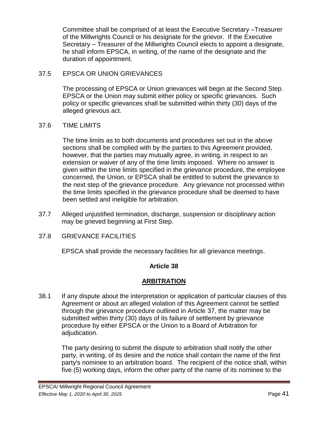Committee shall be comprised of at least the Executive Secretary –Treasurer of the Millwrights Council or his designate for the grievor. If the Executive Secretary – Treasurer of the Millwrights Council elects to appoint a designate, he shall inform EPSCA, in writing, of the name of the designate and the duration of appointment.

### 37.5 EPSCA OR UNION GRIEVANCES

The processing of EPSCA or Union grievances will begin at the Second Step. EPSCA or the Union may submit either policy or specific grievances. Such policy or specific grievances shall be submitted within thirty (30) days of the alleged grievous act.

### 37.6 TIME LIMITS

The time limits as to both documents and procedures set out in the above sections shall be complied with by the parties to this Agreement provided, however, that the parties may mutually agree, in writing, in respect to an extension or waiver of any of the time limits imposed. Where no answer is given within the time limits specified in the grievance procedure, the employee concerned, the Union, or EPSCA shall be entitled to submit the grievance to the next step of the grievance procedure. Any grievance not processed within the time limits specified in the grievance procedure shall be deemed to have been settled and ineligible for arbitration.

- 37.7 Alleged unjustified termination, discharge, suspension or disciplinary action may be grieved beginning at First Step.
- 37.8 GRIEVANCE FACILITIES

EPSCA shall provide the necessary facilities for all grievance meetings.

#### **Article 38**

#### **ARBITRATION**

38.1 If any dispute about the interpretation or application of particular clauses of this Agreement or about an alleged violation of this Agreement cannot be settled through the grievance procedure outlined in Article 37, the matter may be submitted within thirty (30) days of its failure of settlement by grievance procedure by either EPSCA or the Union to a Board of Arbitration for adjudication.

The party desiring to submit the dispute to arbitration shall notify the other party, in writing, of its desire and the notice shall contain the name of the first party's nominee to an arbitration board. The recipient of the notice shall, within five (5) working days, inform the other party of the name of its nominee to the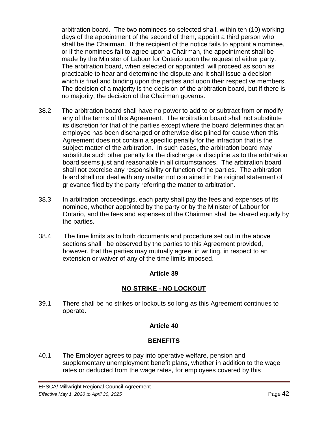arbitration board. The two nominees so selected shall, within ten (10) working days of the appointment of the second of them, appoint a third person who shall be the Chairman. If the recipient of the notice fails to appoint a nominee, or if the nominees fail to agree upon a Chairman, the appointment shall be made by the Minister of Labour for Ontario upon the request of either party. The arbitration board, when selected or appointed, will proceed as soon as practicable to hear and determine the dispute and it shall issue a decision which is final and binding upon the parties and upon their respective members. The decision of a majority is the decision of the arbitration board, but if there is no majority, the decision of the Chairman governs.

- 38.2 The arbitration board shall have no power to add to or subtract from or modify any of the terms of this Agreement. The arbitration board shall not substitute its discretion for that of the parties except where the board determines that an employee has been discharged or otherwise disciplined for cause when this Agreement does not contain a specific penalty for the infraction that is the subject matter of the arbitration. In such cases, the arbitration board may substitute such other penalty for the discharge or discipline as to the arbitration board seems just and reasonable in all circumstances. The arbitration board shall not exercise any responsibility or function of the parties. The arbitration board shall not deal with any matter not contained in the original statement of grievance filed by the party referring the matter to arbitration.
- 38.3 In arbitration proceedings, each party shall pay the fees and expenses of its nominee, whether appointed by the party or by the Minister of Labour for Ontario, and the fees and expenses of the Chairman shall be shared equally by the parties.
- 38.4 The time limits as to both documents and procedure set out in the above sections shall be observed by the parties to this Agreement provided, however, that the parties may mutually agree, in writing, in respect to an extension or waiver of any of the time limits imposed.

### **Article 39**

# **NO STRIKE - NO LOCKOUT**

39.1 There shall be no strikes or lockouts so long as this Agreement continues to operate.

### **Article 40**

### **BENEFITS**

40.1 The Employer agrees to pay into operative welfare, pension and supplementary unemployment benefit plans, whether in addition to the wage rates or deducted from the wage rates, for employees covered by this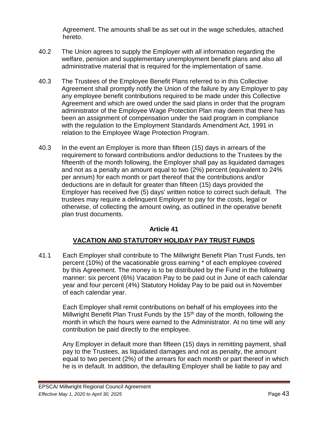Agreement. The amounts shall be as set out in the wage schedules, attached hereto.

- 40.2 The Union agrees to supply the Employer with all information regarding the welfare, pension and supplementary unemployment benefit plans and also all administrative material that is required for the implementation of same.
- 40.3 The Trustees of the Employee Benefit Plans referred to in this Collective Agreement shall promptly notify the Union of the failure by any Employer to pay any employee benefit contributions required to be made under this Collective Agreement and which are owed under the said plans in order that the program administrator of the Employee Wage Protection Plan may deem that there has been an assignment of compensation under the said program in compliance with the regulation to the Employment Standards Amendment Act, 1991 in relation to the Employee Wage Protection Program.
- 40.3 In the event an Employer is more than fifteen (15) days in arrears of the requirement to forward contributions and/or deductions to the Trustees by the fifteenth of the month following, the Employer shall pay as liquidated damages and not as a penalty an amount equal to two (2%) percent (equivalent to 24% per annum) for each month or part thereof that the contributions and/or deductions are in default for greater than fifteen (15) days provided the Employer has received five (5) days' written notice to correct such default. The trustees may require a delinquent Employer to pay for the costs, legal or otherwise, of collecting the amount owing, as outlined in the operative benefit plan trust documents.

### **Article 41**

### **VACATION AND STATUTORY HOLIDAY PAY TRUST FUNDS**

41.1 Each Employer shall contribute to The Millwright Benefit Plan Trust Funds, ten percent (10%) of the vacationable gross earning \* of each employee covered by this Agreement. The money is to be distributed by the Fund in the following manner: six percent (6%) Vacation Pay to be paid out in June of each calendar year and four percent (4%) Statutory Holiday Pay to be paid out in November of each calendar year.

Each Employer shall remit contributions on behalf of his employees into the Millwright Benefit Plan Trust Funds by the 15th day of the month, following the month in which the hours were earned to the Administrator. At no time will any contribution be paid directly to the employee.

Any Employer in default more than fifteen (15) days in remitting payment, shall pay to the Trustees, as liquidated damages and not as penalty, the amount equal to two percent (2%) of the arrears for each month or part thereof in which he is in default. In addition, the defaulting Employer shall be liable to pay and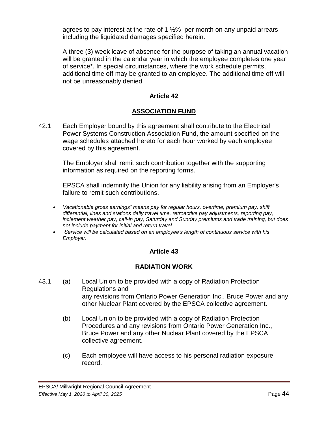agrees to pay interest at the rate of 1  $\frac{1}{2}$ % per month on any unpaid arrears including the liquidated damages specified herein.

A three (3) week leave of absence for the purpose of taking an annual vacation will be granted in the calendar year in which the employee completes one year of service\*. In special circumstances, where the work schedule permits, additional time off may be granted to an employee. The additional time off will not be unreasonably denied

### **Article 42**

# **ASSOCIATION FUND**

42.1 Each Employer bound by this agreement shall contribute to the Electrical Power Systems Construction Association Fund, the amount specified on the wage schedules attached hereto for each hour worked by each employee covered by this agreement.

The Employer shall remit such contribution together with the supporting information as required on the reporting forms.

EPSCA shall indemnify the Union for any liability arising from an Employer's failure to remit such contributions.

- *Vacationable gross earnings" means pay for regular hours, overtime, premium pay, shift differential, lines and stations daily travel time, retroactive pay adjustments, reporting pay, inclement weather pay, call-in pay, Saturday and Sunday premiums and trade training, but does not include payment for initial and return travel.*
- *Service will be calculated based on an employee's length of continuous service with his Employer.*

### **Article 43**

#### **RADIATION WORK**

- 43.1 (a) Local Union to be provided with a copy of Radiation Protection Regulations and any revisions from Ontario Power Generation Inc., Bruce Power and any other Nuclear Plant covered by the EPSCA collective agreement.
	- (b) Local Union to be provided with a copy of Radiation Protection Procedures and any revisions from Ontario Power Generation Inc., Bruce Power and any other Nuclear Plant covered by the EPSCA collective agreement.
	- (c) Each employee will have access to his personal radiation exposure record.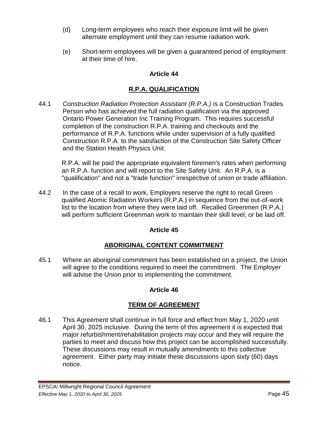- (d) Long-term employees who reach their exposure limit will be given alternate employment until they can resume radiation work.
- (e) Short-term employees will be given a guaranteed period of employment at their time of hire.

# **Article 44**

# **R.P.A. QUALIFICATION**

44.1 *Construction Radiation Protection Assistant (R.P.A.)* is a Construction Trades Person who has achieved the full radiation qualification via the approved Ontario Power Generation Inc Training Program. This requires successful completion of the construction R.P.A. training and checkouts and the performance of R.P.A. functions while under supervision of a fully qualified Construction R.P.A. to the satisfaction of the Construction Site Safety Officer and the Station Health Physics Unit.

R.P.A. will be paid the appropriate equivalent foremen's rates when performing an R.P.A. function and will report to the Site Safety Unit. An R.P.A. is a "qualification" and not a "trade function" irrespective of union or trade affiliation.

44.2 In the case of a recall to work, Employers reserve the right to recall Green qualified Atomic Radiation Workers (R.P.A.) in sequence from the out-of-work list to the location from where they were laid off. Recalled Greenmen (R.P.A.) will perform sufficient Greenman work to maintain their skill level, or be laid off.

### **Article 45**

# **ABORIGINAL CONTENT COMMITMENT**

45.1 Where an aboriginal commitment has been established on a project, the Union will agree to the conditions required to meet the commitment. The Employer will advise the Union prior to implementing the commitment.

### **Article 46**

### **TERM OF AGREEMENT**

46.1 This Agreement shall continue in full force and effect from May 1, 2020 until April 30, 2025 inclusive. During the term of this agreement it is expected that major refurbishment/rehabilitation projects may occur and they will require the parties to meet and discuss how this project can be accomplished successfully. These discussions may result in mutually amendments to this collective agreement. Either party may initiate these discussions upon sixty (60) days notice.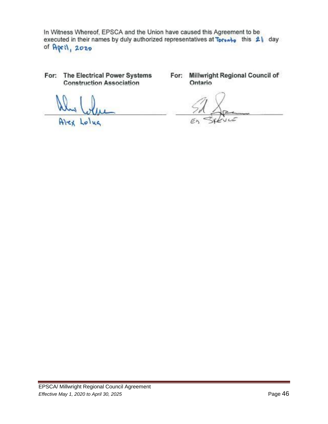In Witness Whereof, EPSCA and the Union have caused this Agreement to be executed in their names by duly authorized representatives at Tprombo this 21 day of April, 2020

For: The Electrical Power Systems **Construction Association** 

 $A$  $A$ oluc

For: Millwright Regional Council of Ontario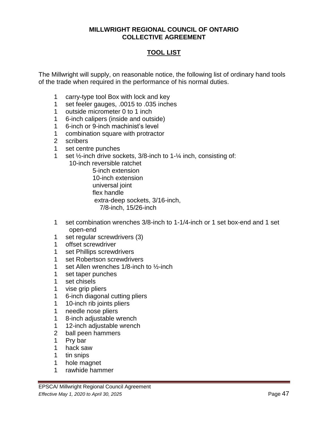#### **MILLWRIGHT REGIONAL COUNCIL OF ONTARIO COLLECTIVE AGREEMENT**

# **TOOL LIST**

The Millwright will supply, on reasonable notice, the following list of ordinary hand tools of the trade when required in the performance of his normal duties.

- carry-type tool Box with lock and key
- set feeler gauges, .0015 to .035 inches
- outside micrometer 0 to 1 inch
- 6-inch calipers (inside and outside)
- 6-inch or 9-inch machinist's level
- combination square with protractor
- scribers
- set centre punches
- set ½-inch drive sockets, 3/8-inch to 1-¼ inch, consisting of:
	- 10-inch reversible ratchet

 5-inch extension 10-inch extension universal joint flex handle extra-deep sockets, 3/16-inch, 7/8-inch, 15/26-inch

- set combination wrenches 3/8-inch to 1-1/4-inch or 1 set box-end and 1 set open-end
- set regular screwdrivers (3)
- offset screwdriver
- set Phillips screwdrivers
- set Robertson screwdrivers
- set Allen wrenches 1/8-inch to ½-inch
- set taper punches
- set chisels
- vise grip pliers
- 6-inch diagonal cutting pliers
- 10-inch rib joints pliers
- needle nose pliers
- 8-inch adjustable wrench
- 12-inch adjustable wrench
- ball peen hammers
- Pry bar
- hack saw
- tin snips
- hole magnet
- rawhide hammer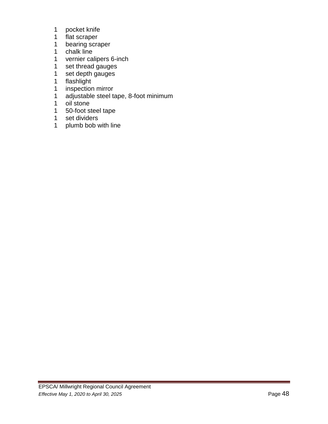- pocket knife
- flat scraper
- bearing scraper
- chalk line
- vernier calipers 6-inch
- set thread gauges
- set depth gauges
- flashlight
- inspection mirror
- adjustable steel tape, 8-foot minimum
- oil stone
- 50-foot steel tape
- set dividers
- plumb bob with line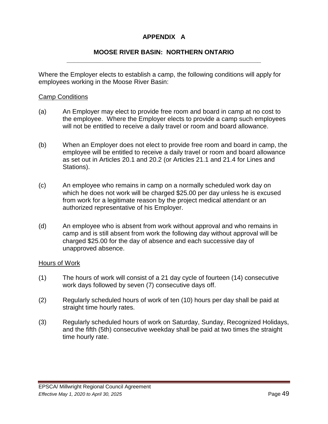# **APPENDIX A**

#### **MOOSE RIVER BASIN: NORTHERN ONTARIO \_\_\_\_\_\_\_\_\_\_\_\_\_\_\_\_\_\_\_\_\_\_\_\_\_\_\_\_\_\_\_\_\_\_\_\_\_\_\_\_\_\_\_\_\_\_\_\_\_\_\_\_\_\_**

Where the Employer elects to establish a camp, the following conditions will apply for employees working in the Moose River Basin:

#### Camp Conditions

- (a) An Employer may elect to provide free room and board in camp at no cost to the employee. Where the Employer elects to provide a camp such employees will not be entitled to receive a daily travel or room and board allowance.
- (b) When an Employer does not elect to provide free room and board in camp, the employee will be entitled to receive a daily travel or room and board allowance as set out in Articles 20.1 and 20.2 (or Articles 21.1 and 21.4 for Lines and Stations).
- (c) An employee who remains in camp on a normally scheduled work day on which he does not work will be charged \$25.00 per day unless he is excused from work for a legitimate reason by the project medical attendant or an authorized representative of his Employer.
- (d) An employee who is absent from work without approval and who remains in camp and is still absent from work the following day without approval will be charged \$25.00 for the day of absence and each successive day of unapproved absence.

#### Hours of Work

- (1) The hours of work will consist of a 21 day cycle of fourteen (14) consecutive work days followed by seven (7) consecutive days off.
- (2) Regularly scheduled hours of work of ten (10) hours per day shall be paid at straight time hourly rates.
- (3) Regularly scheduled hours of work on Saturday, Sunday, Recognized Holidays, and the fifth (5th) consecutive weekday shall be paid at two times the straight time hourly rate.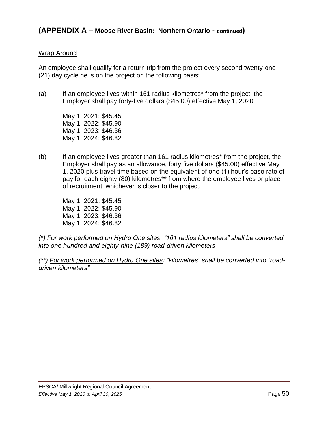#### Wrap Around

An employee shall qualify for a return trip from the project every second twenty-one (21) day cycle he is on the project on the following basis:

(a) If an employee lives within 161 radius kilometres\* from the project, the Employer shall pay forty-five dollars (\$45.00) effective May 1, 2020.

> May 1, 2021: \$45.45 May 1, 2022: \$45.90 May 1, 2023: \$46.36 May 1, 2024: \$46.82

(b) If an employee lives greater than 161 radius kilometres\* from the project, the Employer shall pay as an allowance, forty five dollars (\$45.00) effective May 1, 2020 plus travel time based on the equivalent of one (1) hour's base rate of pay for each eighty (80) kilometres\*\* from where the employee lives or place of recruitment, whichever is closer to the project.

May 1, 2021: \$45.45 May 1, 2022: \$45.90 May 1, 2023: \$46.36 May 1, 2024: \$46.82

*(\*) For work performed on Hydro One sites: "161 radius kilometers" shall be converted into one hundred and eighty-nine (189) road-driven kilometers*

*(\*\*) For work performed on Hydro One sites: "kilometres" shall be converted into "roaddriven kilometers"*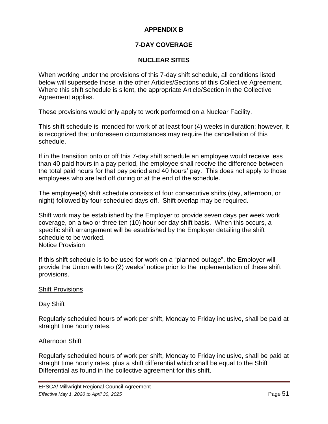# **APPENDIX B**

# **7-DAY COVERAGE**

# **NUCLEAR SITES**

When working under the provisions of this 7-day shift schedule, all conditions listed below will supersede those in the other Articles/Sections of this Collective Agreement. Where this shift schedule is silent, the appropriate Article/Section in the Collective Agreement applies.

These provisions would only apply to work performed on a Nuclear Facility.

This shift schedule is intended for work of at least four (4) weeks in duration; however, it is recognized that unforeseen circumstances may require the cancellation of this schedule.

If in the transition onto or off this 7-day shift schedule an employee would receive less than 40 paid hours in a pay period, the employee shall receive the difference between the total paid hours for that pay period and 40 hours' pay. This does not apply to those employees who are laid off during or at the end of the schedule.

The employee(s) shift schedule consists of four consecutive shifts (day, afternoon, or night) followed by four scheduled days off. Shift overlap may be required.

Shift work may be established by the Employer to provide seven days per week work coverage, on a two or three ten (10) hour per day shift basis. When this occurs, a specific shift arrangement will be established by the Employer detailing the shift schedule to be worked. Notice Provision

If this shift schedule is to be used for work on a "planned outage", the Employer will provide the Union with two (2) weeks' notice prior to the implementation of these shift provisions.

### Shift Provisions

Day Shift

Regularly scheduled hours of work per shift, Monday to Friday inclusive, shall be paid at straight time hourly rates.

### Afternoon Shift

Regularly scheduled hours of work per shift, Monday to Friday inclusive, shall be paid at straight time hourly rates, plus a shift differential which shall be equal to the Shift Differential as found in the collective agreement for this shift.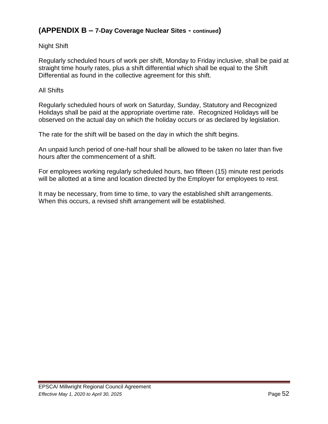# **(APPENDIX B – 7-Day Coverage Nuclear Sites - continued)**

### Night Shift

Regularly scheduled hours of work per shift, Monday to Friday inclusive, shall be paid at straight time hourly rates, plus a shift differential which shall be equal to the Shift Differential as found in the collective agreement for this shift.

#### All Shifts

Regularly scheduled hours of work on Saturday, Sunday, Statutory and Recognized Holidays shall be paid at the appropriate overtime rate. Recognized Holidays will be observed on the actual day on which the holiday occurs or as declared by legislation.

The rate for the shift will be based on the day in which the shift begins.

An unpaid lunch period of one-half hour shall be allowed to be taken no later than five hours after the commencement of a shift.

For employees working regularly scheduled hours, two fifteen (15) minute rest periods will be allotted at a time and location directed by the Employer for employees to rest.

It may be necessary, from time to time, to vary the established shift arrangements. When this occurs, a revised shift arrangement will be established.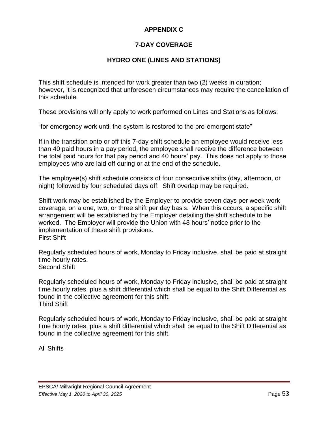# **APPENDIX C**

# **7-DAY COVERAGE**

# **HYDRO ONE (LINES AND STATIONS)**

This shift schedule is intended for work greater than two (2) weeks in duration; however, it is recognized that unforeseen circumstances may require the cancellation of this schedule.

These provisions will only apply to work performed on Lines and Stations as follows:

"for emergency work until the system is restored to the pre-emergent state"

If in the transition onto or off this 7-day shift schedule an employee would receive less than 40 paid hours in a pay period, the employee shall receive the difference between the total paid hours for that pay period and 40 hours' pay. This does not apply to those employees who are laid off during or at the end of the schedule.

The employee(s) shift schedule consists of four consecutive shifts (day, afternoon, or night) followed by four scheduled days off. Shift overlap may be required.

Shift work may be established by the Employer to provide seven days per week work coverage, on a one, two, or three shift per day basis. When this occurs, a specific shift arrangement will be established by the Employer detailing the shift schedule to be worked. The Employer will provide the Union with 48 hours' notice prior to the implementation of these shift provisions. First Shift

Regularly scheduled hours of work, Monday to Friday inclusive, shall be paid at straight time hourly rates. Second Shift

Regularly scheduled hours of work, Monday to Friday inclusive, shall be paid at straight time hourly rates, plus a shift differential which shall be equal to the Shift Differential as found in the collective agreement for this shift. Third Shift

Regularly scheduled hours of work, Monday to Friday inclusive, shall be paid at straight time hourly rates, plus a shift differential which shall be equal to the Shift Differential as found in the collective agreement for this shift.

All Shifts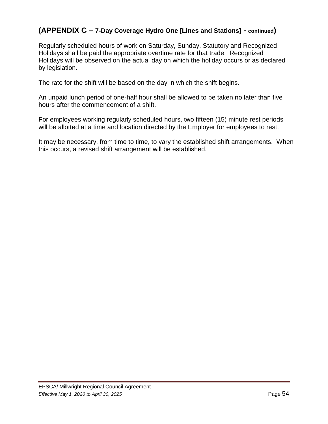# **(APPENDIX C – 7-Day Coverage Hydro One [Lines and Stations] - continued)**

Regularly scheduled hours of work on Saturday, Sunday, Statutory and Recognized Holidays shall be paid the appropriate overtime rate for that trade. Recognized Holidays will be observed on the actual day on which the holiday occurs or as declared by legislation.

The rate for the shift will be based on the day in which the shift begins.

An unpaid lunch period of one-half hour shall be allowed to be taken no later than five hours after the commencement of a shift.

For employees working regularly scheduled hours, two fifteen (15) minute rest periods will be allotted at a time and location directed by the Employer for employees to rest.

It may be necessary, from time to time, to vary the established shift arrangements. When this occurs, a revised shift arrangement will be established.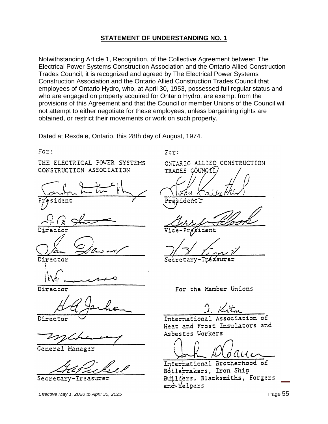Notwithstanding Article 1, Recognition, of the Collective Agreement between The Electrical Power Systems Construction Association and the Ontario Allied Construction Trades Council, it is recognized and agreed by The Electrical Power Systems Construction Association and the Ontario Allied Construction Trades Council that employees of Ontario Hydro, who, at April 30, 1953, possessed full regular status and who are engaged on property acquired for Ontario Hydro, are exempt from the provisions of this Agreement and that the Council or member Unions of the Council will not attempt to either negotiate for these employees, unless bargaining rights are obtained, or restrict their movements or work on such property.

Dated at Rexdale, Ontario, this 28th day of August, 1974.

 $For:$ 

THE ELECTRICAL FOWER SYSTEMS CONSTRUCTION ASSOCIATION

sident

Director

Director

Director

General Manager

Secretary-Treasurer

*Effective May 1, 2020 to April 30, 2025* Page 55 Page 55

 $For:$ 

ONTARIO ALLIED CONSTRUCTION TRADES CÓUNCIL

Secreta

For the Member Unions

International Association of Heat and Frost Insulators and Asbestos Workers

International Brotherhood of Boilermakers, Iron Ship Builders, Blacksmiths, Forgers and felpers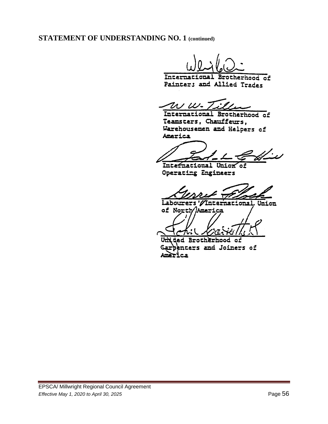**STATEMENT OF UNDERSTANDING NO. 1 (continued)**

International Brotherhood of Painters and Allied Trades

 $ww\cdot \mathcal{I}x$ 

International Brotherhood of Teamsters, Chauffeurs, Warehousemen and Helpers of America

Inte<del>f</del>national Union of Operating Engineers

Labourers International Union of North/America

Unided Brotherhood of **denters and Joiners of**  $G$ arè America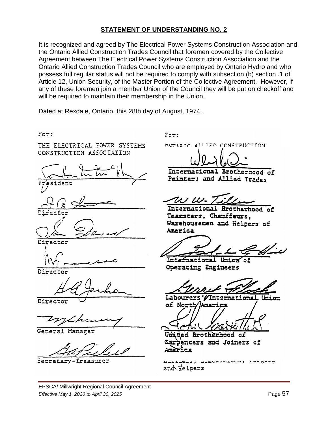It is recognized and agreed by The Electrical Power Systems Construction Association and the Ontario Allied Construction Trades Council that foremen covered by the Collective Agreement between The Electrical Power Systems Construction Association and the Ontario Allied Construction Trades Council who are employed by Ontario Hydro and who possess full regular status will not be required to comply with subsection (b) section .1 of Article 12, Union Security, of the Master Portion of the Collective Agreement. However, if any of these foremen join a member Union of the Council they will be put on checkoff and will be required to maintain their membership in the Union.

Dated at Rexdale, Ontario, this 28th day of August, 1974.

For:

THE ELECTRICAL FOWER SYSTEMS CONSTRUCTION ASSOCIATION







Director

Director

General Manager

Secretary-Treasurer

 $For:$ 

ONTIRIO ALLIFO CONSTRUCTION

Internati onal Brotherhood of Painter; and Allied Trades

 $u\mu$ 

International Brotherhood of Teamsters, Chauffeurs. Warehousemen and Helpers of America

Intei nacional **Operating Engineers** 

Labourers International Union of North

ਪਜ **Brotherhood** оŕ **cers and Joiners of** 

**DATTACYS & ATCAVAMENTAL** and Helpers

EPSCA/ Millwright Regional Council Agreement *Effective May 1, 2020 to April 30, 2025* Page 57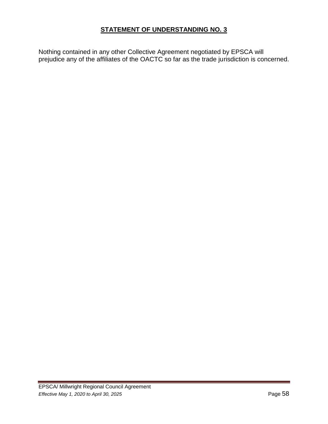Nothing contained in any other Collective Agreement negotiated by EPSCA will prejudice any of the affiliates of the OACTC so far as the trade jurisdiction is concerned.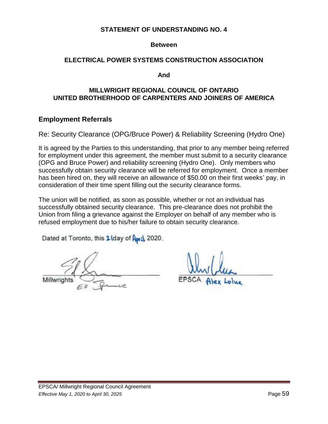#### **Between**

#### **ELECTRICAL POWER SYSTEMS CONSTRUCTION ASSOCIATION**

**And** 

#### **MILLWRIGHT REGIONAL COUNCIL OF ONTARIO UNITED BROTHERHOOD OF CARPENTERS AND JOINERS OF AMERICA**

#### **Employment Referrals**

Re: Security Clearance (OPG/Bruce Power) & Reliability Screening (Hydro One)

It is agreed by the Parties to this understanding, that prior to any member being referred for employment under this agreement, the member must submit to a security clearance (OPG and Bruce Power) and reliability screening (Hydro One). Only members who successfully obtain security clearance will be referred for employment. Once a member has been hired on, they will receive an allowance of \$50.00 on their first weeks' pay, in consideration of their time spent filling out the security clearance forms.

The union will be notified, as soon as possible, whether or not an individual has successfully obtained security clearance. This pre-clearance does not prohibit the Union from filing a grievance against the Employer on behalf of any member who is refused employment due to his/her failure to obtain security clearance.

Dated at Toronto, this 2 Iday of April, 2020.

Millwrights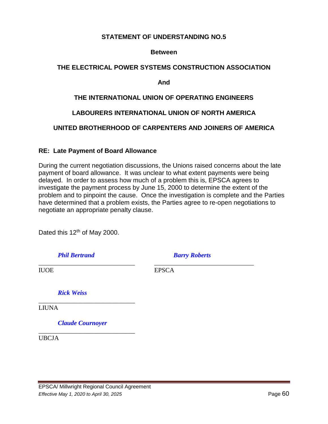#### **Between**

#### **THE ELECTRICAL POWER SYSTEMS CONSTRUCTION ASSOCIATION**

**And**

### **THE INTERNATIONAL UNION OF OPERATING ENGINEERS**

### **LABOURERS INTERNATIONAL UNION OF NORTH AMERICA**

### **UNITED BROTHERHOOD OF CARPENTERS AND JOINERS OF AMERICA**

#### **RE: Late Payment of Board Allowance**

During the current negotiation discussions, the Unions raised concerns about the late payment of board allowance. It was unclear to what extent payments were being delayed. In order to assess how much of a problem this is, EPSCA agrees to investigate the payment process by June 15, 2000 to determine the extent of the problem and to pinpoint the cause. Once the investigation is complete and the Parties have determined that a problem exists, the Parties agree to re-open negotiations to negotiate an appropriate penalty clause.

Dated this 12<sup>th</sup> of May 2000.

*Phil Bertrand Barry Roberts*

\_\_\_\_\_\_\_\_\_\_\_\_\_\_\_\_\_\_\_\_\_\_\_\_\_\_\_\_\_\_ \_\_\_\_\_\_\_\_\_\_\_\_\_\_\_\_\_\_\_\_\_\_\_\_\_\_\_\_\_\_\_

IUOE EPSCA

*Rick Weiss*

LIUNA

*Claude Cournoyer*

\_\_\_\_\_\_\_\_\_\_\_\_\_\_\_\_\_\_\_\_\_\_\_\_\_\_\_\_\_\_

\_\_\_\_\_\_\_\_\_\_\_\_\_\_\_\_\_\_\_\_\_\_\_\_\_\_\_\_\_\_

UBCJA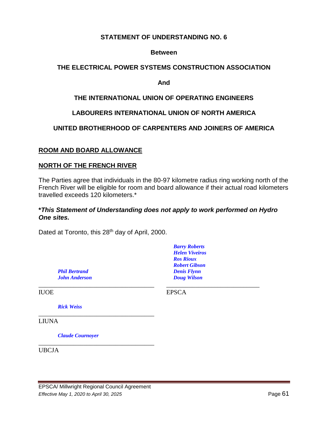### **Between**

### **THE ELECTRICAL POWER SYSTEMS CONSTRUCTION ASSOCIATION**

**And**

### **THE INTERNATIONAL UNION OF OPERATING ENGINEERS**

### **LABOURERS INTERNATIONAL UNION OF NORTH AMERICA**

### **UNITED BROTHERHOOD OF CARPENTERS AND JOINERS OF AMERICA**

#### **ROOM AND BOARD ALLOWANCE**

#### **NORTH OF THE FRENCH RIVER**

The Parties agree that individuals in the 80-97 kilometre radius ring working north of the French River will be eligible for room and board allowance if their actual road kilometers travelled exceeds 120 kilometers.\*

#### **\****This Statement of Understanding does not apply to work performed on Hydro One sites.*

\_\_\_\_\_\_\_\_\_\_\_\_\_\_\_\_\_\_\_\_\_\_\_\_\_\_\_\_\_\_\_\_\_\_\_\_ \_\_\_\_\_\_\_\_\_\_\_\_\_\_\_\_\_\_\_\_\_\_\_\_\_\_\_\_\_

Dated at Toronto, this 28<sup>th</sup> day of April, 2000.

*Phil Bertrand Denis Flynn John Anderson Doug Wilson*

IUOE EPSCA

*Barry Roberts Helen Viveiros Ros Rioux Robert Gibson*

*Rick Weiss*

LIUNA

*Claude Cournoyer*

UBCJA

\_\_\_\_\_\_\_\_\_\_\_\_\_\_\_\_\_\_\_\_\_\_\_\_\_\_\_\_\_\_\_\_\_\_\_\_

\_\_\_\_\_\_\_\_\_\_\_\_\_\_\_\_\_\_\_\_\_\_\_\_\_\_\_\_\_\_\_\_\_\_\_\_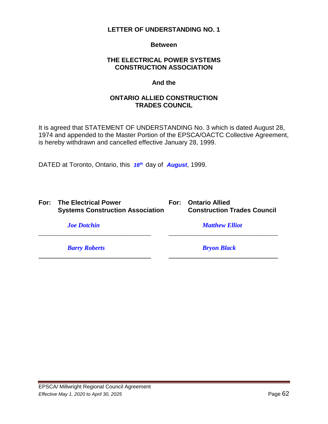**Between**

### **THE ELECTRICAL POWER SYSTEMS CONSTRUCTION ASSOCIATION**

#### **And the**

### **ONTARIO ALLIED CONSTRUCTION TRADES COUNCIL**

It is agreed that STATEMENT OF UNDERSTANDING No. 3 which is dated August 28, 1974 and appended to the Master Portion of the EPSCA/OACTC Collective Agreement, is hereby withdrawn and cancelled effective January 28, 1999.

\_\_\_\_\_\_\_\_\_\_\_\_\_\_\_\_\_\_\_\_\_\_\_\_\_\_\_\_\_\_\_\_\_\_\_ \_\_\_\_\_\_\_\_\_\_\_\_\_\_\_\_\_\_\_\_\_\_\_\_\_\_\_\_\_\_\_\_\_\_

**\_\_\_\_\_\_\_\_\_\_\_\_\_\_\_\_\_\_\_\_\_\_\_\_\_\_\_\_\_\_\_\_\_\_\_ \_\_\_\_\_\_\_\_\_\_\_\_\_\_\_\_\_\_\_\_\_\_\_\_\_\_\_\_\_\_\_\_\_\_**

DATED at Toronto, Ontario, this *16th* day of *August*, 1999.

|  | For: The Electrical Power               |
|--|-----------------------------------------|
|  | <b>Systems Construction Association</b> |

**For:** Ontario Allied **Systems Construction Association Construction Trades Council**

*Barry Roberts Bryon Black*

*Joe Dotchin Matthew Elliot*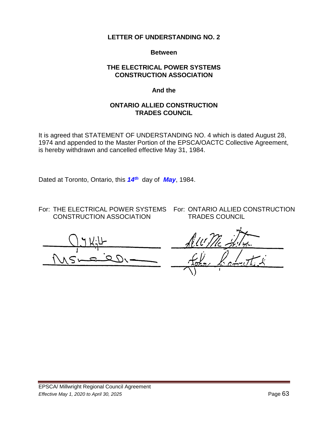#### **Between**

### **THE ELECTRICAL POWER SYSTEMS CONSTRUCTION ASSOCIATION**

#### **And the**

#### **ONTARIO ALLIED CONSTRUCTION TRADES COUNCIL**

It is agreed that STATEMENT OF UNDERSTANDING NO. 4 which is dated August 28, 1974 and appended to the Master Portion of the EPSCA/OACTC Collective Agreement, is hereby withdrawn and cancelled effective May 31, 1984.

Dated at Toronto, Ontario, this *14th* day of *May*, 1984.

For: THE ELECTRICAL POWER SYSTEMS For: ONTARIO ALLIED CONSTRUCTION CONSTRUCTION ASSOCIATION TRADES COUNCIL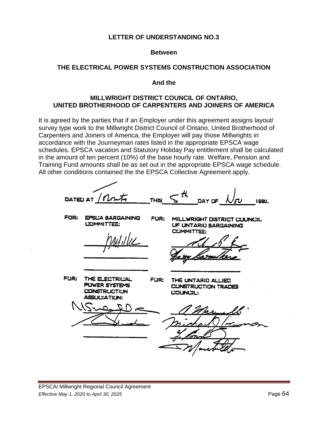#### **Between**

#### **THE ELECTRICAL POWER SYSTEMS CONSTRUCTION ASSOCIATION**

**And the**

#### **MILLWRIGHT DISTRICT COUNCIL OF ONTARIO, UNITED BROTHERHOOD OF CARPENTERS AND JOINERS OF AMERICA**

It is agreed by the parties that if an Employer under this agreement assigns layout/ survey type work to the Millwright District Council of Ontario, United Brotherhood of Carpenters and Joiners of America, the Employer will pay those Millwrights in accordance with the Journeyman rates listed in the appropriate EPSCA wage schedules. EPSCA vacation and Statutory Holiday Pay entitlement shall be calculated in the amount of ten percent (10%) of the base hourly rate. Welfare, Pension and Training Fund amounts shall be as set out in the appropriate EPSCA wage schedule. All other conditions contained the the EPSCA Collective Agreement apply.

DATED AT **THIS** DAY OF 1990. FOR: **EPSCA BARGAINING** FUR: MILLWRIGHT DISTRICT COUNCIL **L'OMMITTEE: UF UNTARIU BARGAINING CUMMITTEE:** FUR: THE ELECTRICAL FUR: THE UNTARIO ALLIED PUWER SYSTEMS **CUNSTRUCTION TRADES CONSTRUCTION** COUNCIL: **ASSUCIATION:**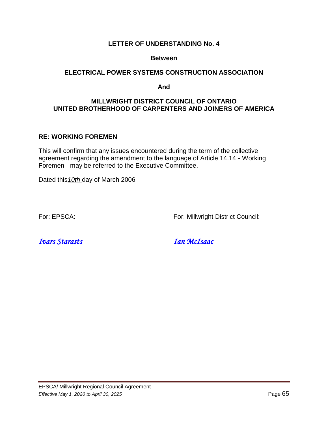#### **Between**

#### **ELECTRICAL POWER SYSTEMS CONSTRUCTION ASSOCIATION**

#### **And**

### **MILLWRIGHT DISTRICT COUNCIL OF ONTARIO UNITED BROTHERHOOD OF CARPENTERS AND JOINERS OF AMERICA**

#### **RE: WORKING FOREMEN**

This will confirm that any issues encountered during the term of the collective agreement regarding the amendment to the language of Article 14.14 - Working Foremen - may be referred to the Executive Committee.

\_\_\_\_\_\_\_\_\_\_\_\_\_\_\_\_\_\_\_\_\_\_ \_\_\_\_\_\_\_\_\_\_\_\_\_\_\_\_\_\_\_\_\_\_\_\_\_

Dated this*10th* day of March 2006

For: EPSCA: For: Millwright District Council:

*Ivars Starasts Ian McIsaac*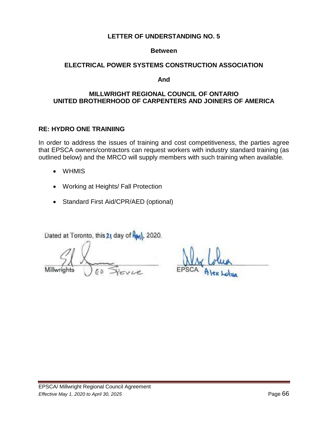#### **Between**

### **ELECTRICAL POWER SYSTEMS CONSTRUCTION ASSOCIATION**

**And** 

### **MILLWRIGHT REGIONAL COUNCIL OF ONTARIO UNITED BROTHERHOOD OF CARPENTERS AND JOINERS OF AMERICA**

### **RE: HYDRO ONE TRAINIING**

In order to address the issues of training and cost competitiveness, the parties agree that EPSCA owners/contractors can request workers with industry standard training (as outlined below) and the MRCO will supply members with such training when available.

- WHMIS
- Working at Heights/ Fall Protection
- Standard First Aid/CPR/AED (optional)

Dated at Toronto, this 21 day of Rev), 2020.

Millwria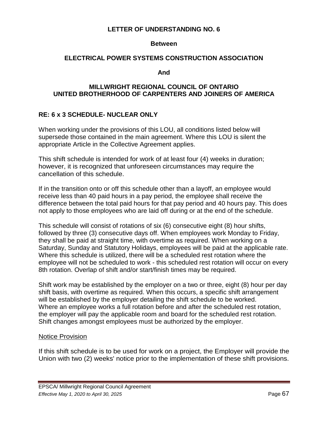#### **Between**

#### **ELECTRICAL POWER SYSTEMS CONSTRUCTION ASSOCIATION**

**And**

#### **MILLWRIGHT REGIONAL COUNCIL OF ONTARIO UNITED BROTHERHOOD OF CARPENTERS AND JOINERS OF AMERICA**

### **RE: 6 x 3 SCHEDULE- NUCLEAR ONLY**

When working under the provisions of this LOU, all conditions listed below will supersede those contained in the main agreement. Where this LOU is silent the appropriate Article in the Collective Agreement applies.

This shift schedule is intended for work of at least four (4) weeks in duration; however, it is recognized that unforeseen circumstances may require the cancellation of this schedule.

If in the transition onto or off this schedule other than a layoff, an employee would receive less than 40 paid hours in a pay period, the employee shall receive the difference between the total paid hours for that pay period and 40 hours pay. This does not apply to those employees who are laid off during or at the end of the schedule.

This schedule will consist of rotations of six (6) consecutive eight (8) hour shifts, followed by three (3) consecutive days off. When employees work Monday to Friday, they shall be paid at straight time, with overtime as required. When working on a Saturday, Sunday and Statutory Holidays, employees will be paid at the applicable rate. Where this schedule is utilized, there will be a scheduled rest rotation where the employee will not be scheduled to work - this scheduled rest rotation will occur on every 8th rotation. Overlap of shift and/or start/finish times may be required.

Shift work may be established by the employer on a two or three, eight (8) hour per day shift basis, with overtime as required. When this occurs, a specific shift arrangement will be established by the employer detailing the shift schedule to be worked. Where an employee works a full rotation before and after the scheduled rest rotation, the employer will pay the applicable room and board for the scheduled rest rotation. Shift changes amongst employees must be authorized by the employer.

#### Notice Provision

If this shift schedule is to be used for work on a project, the Employer will provide the Union with two (2) weeks' notice prior to the implementation of these shift provisions.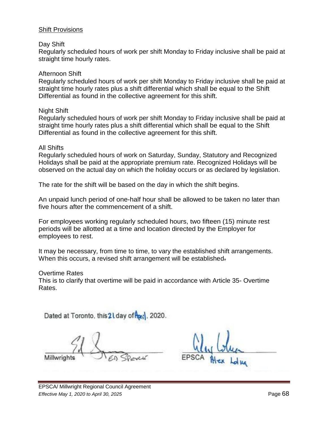#### Shift Provisions

#### Day Shift

Regularly scheduled hours of work per shift Monday to Friday inclusive shall be paid at straight time hourly rates.

#### Afternoon Shift

Regularly scheduled hours of work per shift Monday to Friday inclusive shall be paid at straight time hourly rates plus a shift differential which shall be equal to the Shift Differential as found in the collective agreement for this shift.

#### Night Shift

Regularly scheduled hours of work per shift Monday to Friday inclusive shall be paid at straight time hourly rates plus a shift differential which shall be equal to the Shift Differential as found in the collective agreement for this shift.

#### All Shifts

Regularly scheduled hours of work on Saturday, Sunday, Statutory and Recognized Holidays shall be paid at the appropriate premium rate. Recognized Holidays will be observed on the actual day on which the holiday occurs or as declared by legislation.

The rate for the shift will be based on the day in which the shift begins.

An unpaid lunch period of one-half hour shall be allowed to be taken no later than five hours after the commencement of a shift.

For employees working regularly scheduled hours, two fifteen (15) minute rest periods will be allotted at a time and location directed by the Employer for employees to rest.

It may be necessary, from time to time, to vary the established shift arrangements. When this occurs, a revised shift arrangement will be established.

#### Overtime Rates

This is to clarify that overtime will be paid in accordance with Article 35- Overtime Rates.

Dated at Toronto, this 2 Lday of from 2020.

Millwrights